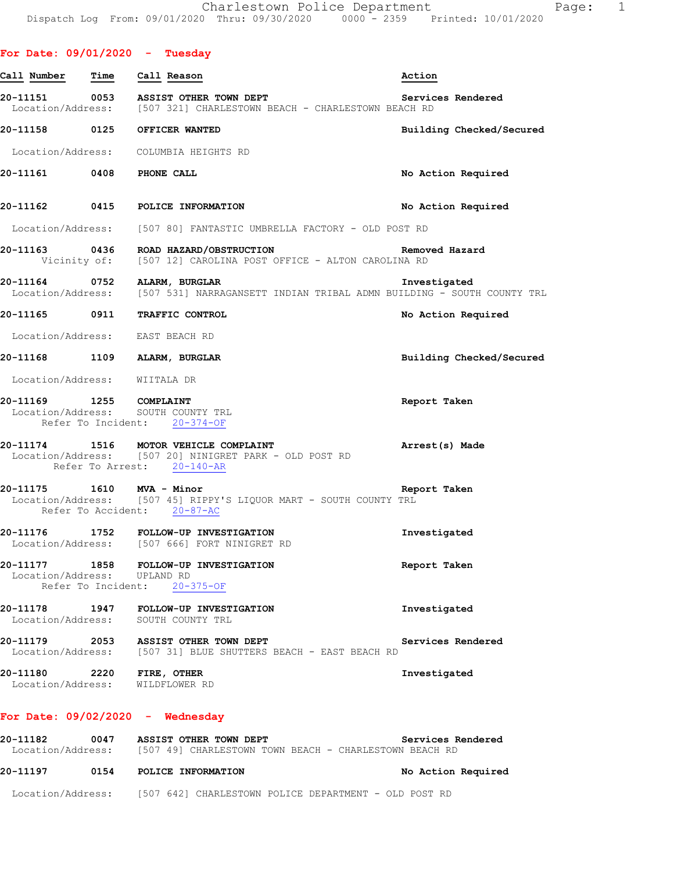| For Date: $09/01/2020$ - Tuesday |      |                                                                                                                                   |                          |
|----------------------------------|------|-----------------------------------------------------------------------------------------------------------------------------------|--------------------------|
| Call Number                      | Time | Call Reason                                                                                                                       | Action                   |
|                                  |      | 20-11151 0053 ASSIST OTHER TOWN DEPT<br>Location/Address: [507 321] CHARLESTOWN BEACH - CHARLESTOWN BEACH RD                      | Services Rendered        |
|                                  |      | 20-11158 0125 OFFICER WANTED                                                                                                      | Building Checked/Secured |
|                                  |      | Location/Address: COLUMBIA HEIGHTS RD                                                                                             |                          |
| 20-11161 0408 PHONE CALL         |      |                                                                                                                                   | No Action Required       |
|                                  |      | 20-11162 0415 POLICE INFORMATION                                                                                                  | No Action Required       |
|                                  |      | Location/Address: [507 80] FANTASTIC UMBRELLA FACTORY - OLD POST RD                                                               |                          |
|                                  |      | 20-11163 0436 ROAD HAZARD/OBSTRUCTION CONTROLLER Removed Hazard<br>Vicinity of: [507 12] CAROLINA POST OFFICE - ALTON CAROLINA RD |                          |
|                                  |      | 20-11164 0752 ALARM, BURGLAR<br>Location/Address: [507 531] NARRAGANSETT INDIAN TRIBAL ADMN BUILDING - SOUTH COUNTY TRL           | Investigated             |
| 20-11165 0911                    |      | TRAFFIC CONTROL                                                                                                                   | No Action Required       |
|                                  |      | Location/Address: EAST BEACH RD                                                                                                   |                          |
|                                  |      | 20-11168 1109 ALARM, BURGLAR                                                                                                      | Building Checked/Secured |
| Location/Address: WIITALA DR     |      |                                                                                                                                   |                          |
| 20-11169 1255 COMPLAINT          |      | Location/Address: SOUTH COUNTY TRL<br>Refer To Incident: 20-374-OF                                                                | Report Taken             |
| 20-11174                         |      | 0-11174 1516 MOTOR VEHICLE COMPLAINT<br>Location/Address: [507 20] NINIGRET PARK - OLD POST RD<br>Refer To Arrest: 20-140-AR      | Arrest(s) Made           |
| 20-11175                         |      | 1610 MVA - Minor<br>Location/Address: [507 45] RIPPY'S LIQUOR MART - SOUTH COUNTY TRL<br>Refer To Accident: 20-87-AC              | Report Taken             |
| 20-11176                         |      | 1752 FOLLOW-UP INVESTIGATION<br>Location/Address: [507 666] FORT NINIGRET RD                                                      | Investigated             |
| Location/Address: UPLAND RD      |      | 20-11177 1858 FOLLOW-UP INVESTIGATION<br>Refer To Incident: 20-375-OF                                                             | Report Taken             |
|                                  |      | 20-11178 1947 FOLLOW-UP INVESTIGATION<br>Location/Address: SOUTH COUNTY TRL                                                       | Investigated             |
|                                  |      | 20-11179 2053 ASSIST OTHER TOWN DEPT<br>Location/Address: [507 31] BLUE SHUTTERS BEACH - EAST BEACH RD                            | Services Rendered        |
| 20-11180 2220 FIRE, OTHER        |      | Location/Address: WILDFLOWER RD                                                                                                   | Investigated             |
|                                  |      |                                                                                                                                   |                          |

#### **For Date: 09/02/2020 - Wednesday**

**20-11182 0047 ASSIST OTHER TOWN DEPT Services Rendered**  Location/Address: [507 49] CHARLESTOWN TOWN BEACH - CHARLESTOWN BEACH RD **20-11197 0154 POLICE INFORMATION No Action Required**  Location/Address: [507 642] CHARLESTOWN POLICE DEPARTMENT - OLD POST RD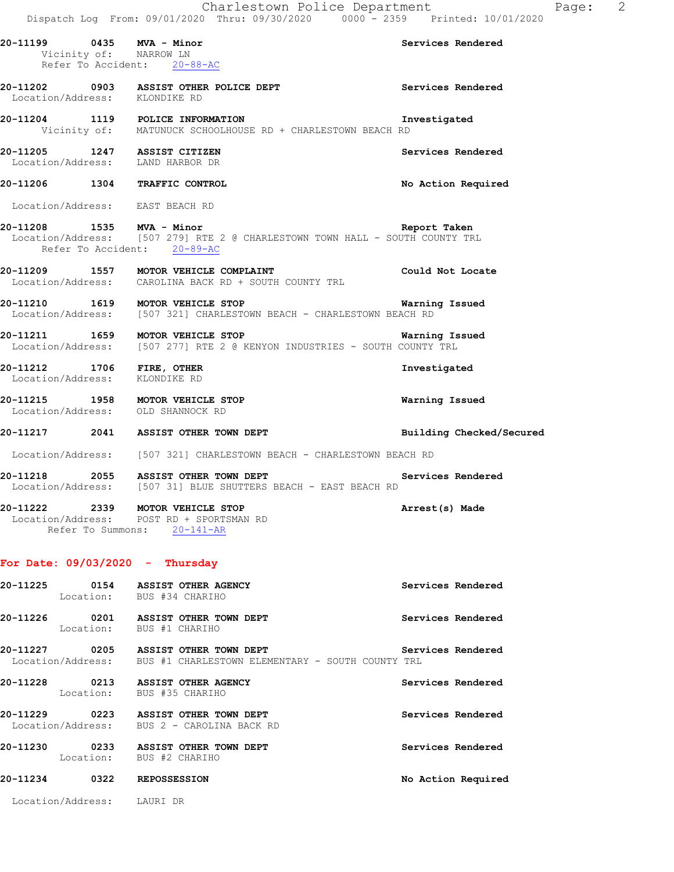|                        | Charlestown Police Department<br>Dispatch Log From: 09/01/2020 Thru: 09/30/2020 0000 <sup>-</sup> 2359 Printed: 10/01/2020               | Page: 2                  |  |
|------------------------|------------------------------------------------------------------------------------------------------------------------------------------|--------------------------|--|
| Vicinity of: NARROW LN | 20-11199 0435 MVA - Minor<br>Refer To Accident: 20-88-AC                                                                                 | Services Rendered        |  |
|                        | 20-11202 0903 ASSIST OTHER POLICE DEPT Services Rendered<br>Location/Address: KLONDIKE RD                                                |                          |  |
|                        | 20-11204 1119 POLICE INFORMATION In<br>Vicinity of: MATUNUCK SCHOOLHOUSE RD + CHARLESTOWN BEACH RD                                       | Investigated             |  |
|                        | 20-11205 1247 ASSIST CITIZEN<br>Location/Address: LAND HARBOR DR                                                                         | Services Rendered        |  |
|                        | 20-11206 1304 TRAFFIC CONTROL                                                                                                            | No Action Required       |  |
|                        | Location/Address: EAST BEACH RD                                                                                                          |                          |  |
|                        | 20-11208 1535 MVA - Minor<br>Location/Address: [507 279] RTE 2 @ CHARLESTOWN TOWN HALL - SOUTH COUNTY TRL<br>Refer To Accident: 20-89-AC | Report Taken             |  |
|                        | 20-11209 1557 MOTOR VEHICLE COMPLAINT<br>Location/Address: CAROLINA BACK RD + SOUTH COUNTY TRL                                           | Could Not Locate         |  |
|                        | 20-11210 1619 MOTOR VEHICLE STOP 1991 1991 Warning Issued<br>Location/Address: [507 321] CHARLESTOWN BEACH - CHARLESTOWN BEACH RD        |                          |  |
|                        | 20-11211 1659 MOTOR VEHICLE STOP 1999 1999 Warning Issued<br>Location/Address: [507 277] RTE 2 @ KENYON INDUSTRIES - SOUTH COUNTY TRL    |                          |  |
|                        | 20-11212 1706 FIRE, OTHER<br>Location/Address: KLONDIKE RD                                                                               | Investigated             |  |
|                        | 20-11215 1958 MOTOR VEHICLE STOP<br>Location/Address: OLD SHANNOCK RD                                                                    | Warning Issued           |  |
|                        | 20-11217 2041 ASSIST OTHER TOWN DEPT                                                                                                     | Building Checked/Secured |  |
|                        | Location/Address: [507 321] CHARLESTOWN BEACH - CHARLESTOWN BEACH RD                                                                     |                          |  |
|                        | 20-11218 2055 ASSIST OTHER TOWN DEPT<br>Location/Address: [507 31] BLUE SHUTTERS BEACH - EAST BEACH RD                                   | Services Rendered        |  |
|                        | 20-11222 2339 MOTOR VEHICLE STOP<br>Location/Address: POST RD + SPORTSMAN RD<br>Refer To Summons: 20-141-AR                              | Arrest(s) Made           |  |
|                        | For Date: $09/03/2020$ - Thursday                                                                                                        |                          |  |
|                        | 20-11225 0154 ASSIST OTHER AGENCY<br>Location: BUS #34 CHARIHO                                                                           | Services Rendered        |  |
|                        | 20-11226 0201 ASSIST OTHER TOWN DEPT<br>Location: BUS #1 CHARIHO                                                                         | Services Rendered        |  |
|                        | 20-11227 0205 ASSIST OTHER TOWN DEPT<br>Location/Address: BUS #1 CHARLESTOWN ELEMENTARY - SOUTH COUNTY TRL                               | Services Rendered        |  |
|                        | 20-11228 0213 ASSIST OTHER AGENCY<br>Location: BUS #35 CHARIHO                                                                           | Services Rendered        |  |
|                        | 20-11229 0223 ASSIST OTHER TOWN DEPT<br>Location/Address: BUS 2 - CAROLINA BACK RD                                                       | Services Rendered        |  |
|                        | 20-11230 0233 ASSIST OTHER TOWN DEPT<br>Location: BUS #2 CHARIHO                                                                         | Services Rendered        |  |
|                        | 20-11234 0322 REPOSSESSION                                                                                                               | No Action Required       |  |

Location/Address: LAURI DR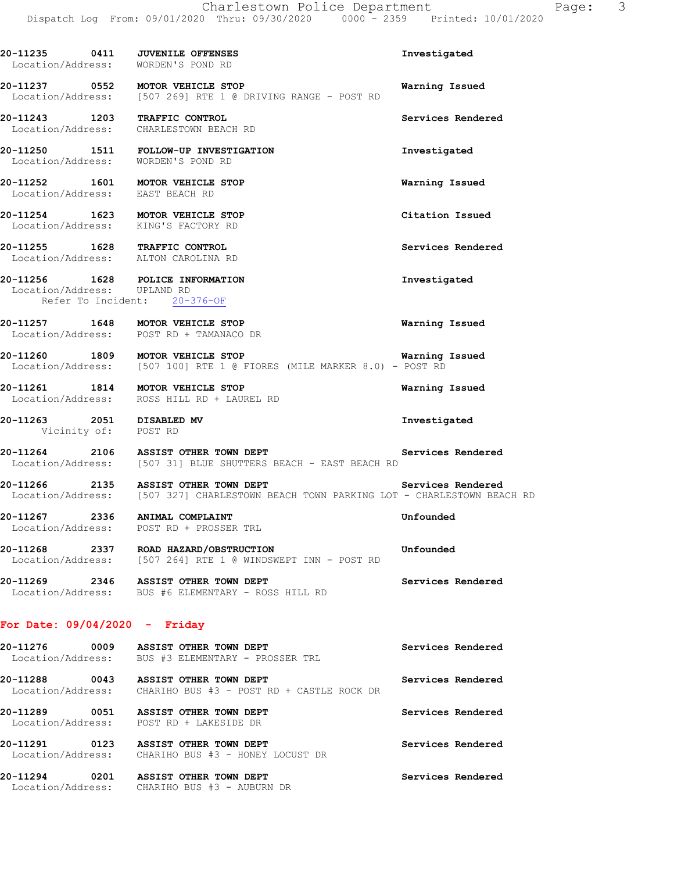| Investigated                                                                                                                                    |
|-------------------------------------------------------------------------------------------------------------------------------------------------|
| Warning Issued                                                                                                                                  |
| Services Rendered                                                                                                                               |
| Investigated                                                                                                                                    |
| Warning Issued                                                                                                                                  |
| Citation Issued                                                                                                                                 |
| Services Rendered                                                                                                                               |
| Investigated                                                                                                                                    |
| Warning Issued                                                                                                                                  |
| Warning Issued<br>Location/Address: [507 100] RTE 1 @ FIORES (MILE MARKER 8.0) - POST RD                                                        |
| Warning Issued                                                                                                                                  |
| Investigated                                                                                                                                    |
| 20-11264 2106 ASSIST OTHER TOWN DEPT Services Rendered<br>Location/Address: [507 31] BLUE SHUTTERS BEACH - EAST BEACH RD                        |
| 20-11266 2135 ASSIST OTHER TOWN DEPT Services Rendered<br>Location/Address: [507 327] CHARLESTOWN BEACH TOWN PARKING LOT - CHARLESTOWN BEACH RD |
| Unfounded                                                                                                                                       |
| Unfounded                                                                                                                                       |
| Services Rendered                                                                                                                               |
|                                                                                                                                                 |

| 20-11276<br>0009<br>Location/Address: | ASSIST OTHER TOWN DEPT<br>BUS #3 ELEMENTARY - PROSSER TRL           | Services Rendered |
|---------------------------------------|---------------------------------------------------------------------|-------------------|
| 20-11288<br>0043<br>Location/Address: | ASSIST OTHER TOWN DEPT<br>CHARIHO BUS #3 - POST RD + CASTLE ROCK DR | Services Rendered |
| 20-11289<br>0051                      | ASSIST OTHER TOWN DEPT<br>Location/Address: POST RD + LAKESIDE DR   | Services Rendered |
| 20-11291<br>0123<br>Location/Address: | ASSIST OTHER TOWN DEPT<br>CHARIHO BUS #3 - HONEY LOCUST DR          | Services Rendered |
| 20-11294<br>0201<br>Location/Address: | ASSIST OTHER TOWN DEPT<br>CHARIHO BUS #3 - AUBURN DR                | Services Rendered |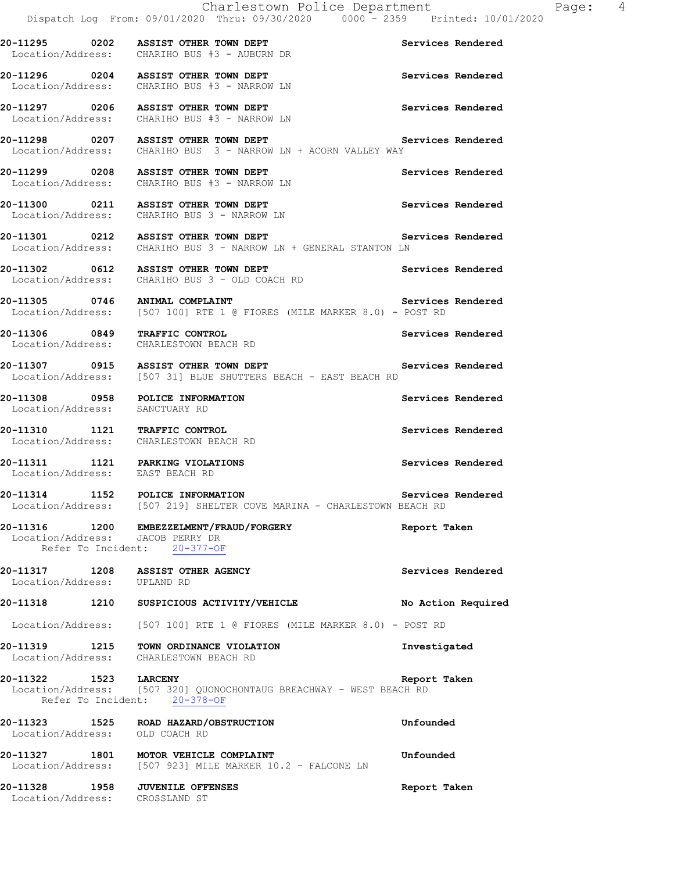**20-11295 0202 ASSIST OTHER TOWN DEPT Services Rendered**  Location/Address: CHARIHO BUS #3 - AUBURN DR **20-11296 0204 ASSIST OTHER TOWN DEPT Services Rendered**  Location/Address: CHARIHO BUS #3 - NARROW LN **20-11297 0206 ASSIST OTHER TOWN DEPT Services Rendered**  Location/Address: CHARIHO BUS #3 - NARROW LN **20-11298 0207 ASSIST OTHER TOWN DEPT Services Rendered**  Location/Address: CHARIHO BUS 3 - NARROW LN + ACORN VALLEY WAY **20-11299 0208 ASSIST OTHER TOWN DEPT Services Rendered**  Location/Address: CHARIHO BUS #3 - NARROW LN **20-11300 0211 ASSIST OTHER TOWN DEPT Services Rendered**  Location/Address: CHARIHO BUS 3 - NARROW LN **20-11301 0212 ASSIST OTHER TOWN DEPT Services Rendered**  Location/Address: CHARIHO BUS 3 - NARROW LN + GENERAL STANTON LN **20-11302 0612 ASSIST OTHER TOWN DEPT Services Rendered**  Location/Address: CHARIHO BUS 3 - OLD COACH RD **20-11305 0746 ANIMAL COMPLAINT Services Rendered**  Location/Address: [507 100] RTE 1 @ FIORES (MILE MARKER 8.0) - POST RD **20-11306 0849 TRAFFIC CONTROL Services Rendered**  Location/Address: CHARLESTOWN BEACH RD **20-11307 0915 ASSIST OTHER TOWN DEPT Services Rendered**  Location/Address: [507 31] BLUE SHUTTERS BEACH - EAST BEACH RD **20-11308 0958 POLICE INFORMATION Services Rendered**  Location/Address: SANCTUARY RD **20-11310 1121 TRAFFIC CONTROL Services Rendered**  Location/Address: CHARLESTOWN BEACH RD **20-11311 1121 PARKING VIOLATIONS Services Rendered**  Location/Address: EAST BEACH RD **20-11314 1152 POLICE INFORMATION Services Rendered**  Location/Address: [507 219] SHELTER COVE MARINA - CHARLESTOWN BEACH RD **20-11316 1200 EMBEZZELMENT/FRAUD/FORGERY Report Taken**  Location/Address: JACOB PERRY DR<br>Refer To Incident: 20-377-OF Refer To Incident: 20-11317 1208 ASSIST OTHER AGENCY **1208** Services Rendered **Secure 2016** Location/Address: **20-11318 1210 SUSPICIOUS ACTIVITY/VEHICLE No Action Required**  Location/Address: [507 100] RTE 1 @ FIORES (MILE MARKER 8.0) - POST RD **20-11319 1215 TOWN ORDINANCE VIOLATION Investigated**  Location/Address: CHARLESTOWN BEACH RD **20-11322 1523 LARCENY Report Taken**  Location/Address: [507 320] QUONOCHONTAUG BREACHWAY - WEST BEACH RD Refer To Incident: 20-378-OF **20-11323 1525 ROAD HAZARD/OBSTRUCTION Unfounded**  Location/Address: OLD COACH RD **20-11327 1801 MOTOR VEHICLE COMPLAINT Unfounded**  Location/Address: [507 923] MILE MARKER 10.2 - FALCONE LN **20-11328 1958 JUVENILE OFFENSES Report Taken**  Location/Address: CROSSLAND ST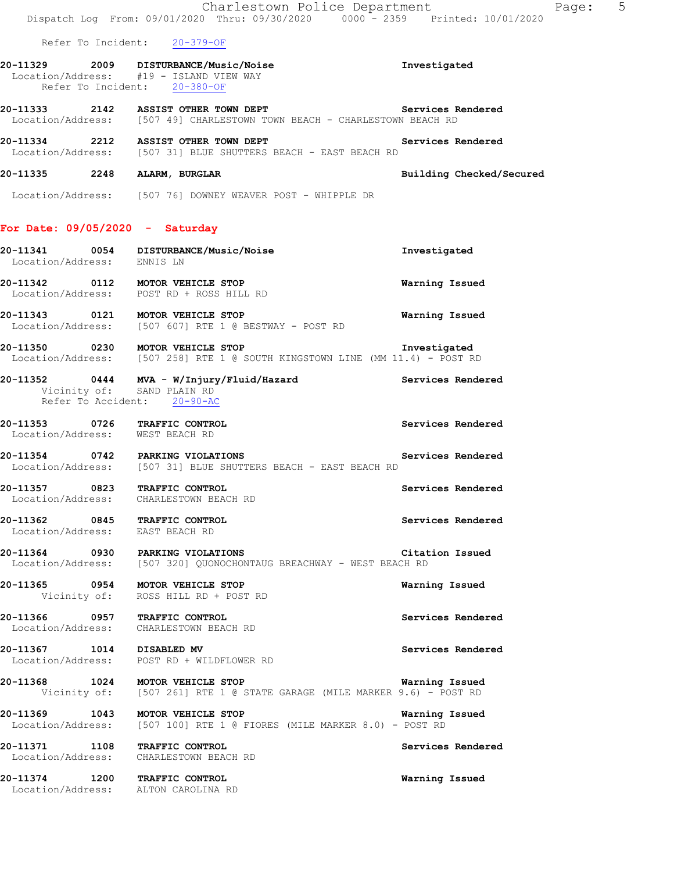|                                                                         | Charlestown Police Department<br>Dispatch Log From: 09/01/2020 Thru: 09/30/2020 0000 - 2359 Printed: 10/01/2020                 | 5<br>Page:               |
|-------------------------------------------------------------------------|---------------------------------------------------------------------------------------------------------------------------------|--------------------------|
| Refer To Incident: 20-379-OF                                            |                                                                                                                                 |                          |
| Location/Address: #19 - ISLAND VIEW WAY<br>Refer To Incident: 20-380-OF | 20-11329 2009 DISTURBANCE/Music/Noise                                                                                           | Investigated             |
|                                                                         | 20-11333 2142 ASSIST OTHER TOWN DEPT Services Rendered Location/Address: [507 49] CHARLESTOWN TOWN BEACH - CHARLESTOWN BEACH RD |                          |
|                                                                         | 20-11334 2212 ASSIST OTHER TOWN DEPT Services Rendered<br>Location/Address: [507 31] BLUE SHUTTERS BEACH - EAST BEACH RD        |                          |
| 20-11335 2248 ALARM, BURGLAR                                            |                                                                                                                                 | Building Checked/Secured |
|                                                                         | Location/Address: [507 76] DOWNEY WEAVER POST - WHIPPLE DR                                                                      |                          |
| For Date: $09/05/2020 -$ Saturday                                       |                                                                                                                                 |                          |
| Location/Address: ENNIS LN                                              | 20-11341  0054 DISTURBANCE/Music/Noise                                                                                          | Investigated             |
|                                                                         | 20-11342 0112 MOTOR VEHICLE STOP<br>Location/Address: POST RD + ROSS HILL RD                                                    | Warning Issued           |
|                                                                         | 20-11343 0121 MOTOR VEHICLE STOP<br>Location/Address: [507 607] RTE 1 @ BESTWAY - POST RD                                       | Warning Issued           |
| 20-11350 0230 MOTOR VEHICLE STOP                                        | Location/Address: [507 258] RTE 1 @ SOUTH KINGSTOWN LINE (MM 11.4) - POST RD                                                    | Investigated             |
| Refer To Accident: 20-90-AC                                             | 20-11352  0444  MVA - W/Injury/Fluid/Hazard  Services Rendered Vicinity of: SAND PLAIN RD                                       |                          |
| 20-11353 0726 TRAFFIC CONTROL<br>Location/Address: WEST BEACH RD        |                                                                                                                                 | Services Rendered        |
| 20-11354 0742 PARKING VIOLATIONS                                        | Location/Address: [507 31] BLUE SHUTTERS BEACH - EAST BEACH RD                                                                  | Services Rendered        |
| 20-11357 0823 TRAFFIC CONTROL<br>Location/Address: CHARLESTOWN BEACH RD |                                                                                                                                 | Services Rendered        |
| 20-11362 0845 TRAFFIC CONTROL<br>Location/Address: EAST BEACH RD        |                                                                                                                                 | Services Rendered        |
|                                                                         | 20-11364 0930 PARKING VIOLATIONS<br>Location/Address: [507 320] QUONOCHONTAUG BREACHWAY - WEST BEACH RD                         | Citation Issued          |
| 20-11365 0954 MOTOR VEHICLE STOP                                        | Vicinity of: ROSS HILL RD + POST RD                                                                                             | Warning Issued           |
| 20-11366 0957 TRAFFIC CONTROL<br>Location/Address: CHARLESTOWN BEACH RD |                                                                                                                                 | Services Rendered        |
| 20-11367 1014 DISABLED MV                                               | Location/Address: POST RD + WILDFLOWER RD                                                                                       | Services Rendered        |
|                                                                         | 20-11368 1024 MOTOR VEHICLE STOP<br>Vicinity of: [507 261] RTE 1 @ STATE GARAGE (MILE MARKER 9.6) - POST RD                     | Warning Issued           |
|                                                                         | 20-11369 1043 MOTOR VEHICLE STOP<br>Location/Address: [507 100] RTE 1 @ FIORES (MILE MARKER 8.0) - POST RD                      | Warning Issued           |
| 20-11371 1108 TRAFFIC CONTROL<br>Location/Address: CHARLESTOWN BEACH RD |                                                                                                                                 | Services Rendered        |
| 20-11374 1200 TRAFFIC CONTROL<br>Location/Address: ALTON CAROLINA RD    |                                                                                                                                 | Warning Issued           |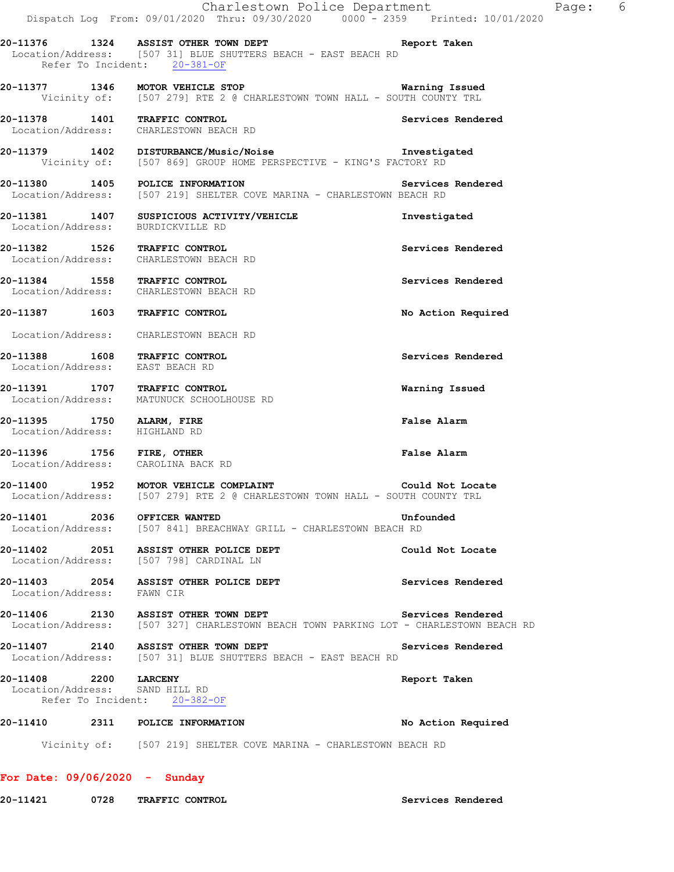|                                                                  | Charlestown Police Department<br>Dispatch Log From: 09/01/2020 Thru: 09/30/2020 0000 <sup>-</sup> - 2359 Printed: 10/01/2020                               |                    | Page: 6 |  |
|------------------------------------------------------------------|------------------------------------------------------------------------------------------------------------------------------------------------------------|--------------------|---------|--|
|                                                                  | 20-11376 1324 ASSIST OTHER TOWN DEPT STATES Report Taken<br>Location/Address: [507 31] BLUE SHUTTERS BEACH - EAST BEACH RD<br>Refer To Incident: 20-381-OF |                    |         |  |
|                                                                  | <b>20-11377 1346 MOTOR VEHICLE STOP WATNING ISSUED</b><br>Vicinity of: [507 279] RTE 2 @ CHARLESTOWN TOWN HALL - SOUTH COUNTY TRL                          | Warning Issued     |         |  |
|                                                                  | 20-11378 1401 TRAFFIC CONTROL<br>Location/Address: CHARLESTOWN BEACH RD                                                                                    | Services Rendered  |         |  |
|                                                                  | Vicinity of: [507 869] GROUP HOME PERSPECTIVE - KING'S FACTORY RD                                                                                          |                    |         |  |
|                                                                  | 20-11380 1405 POLICE INFORMATION<br>Location/Address: [507 219] SHELTER COVE MARINA - CHARLESTOWN BEACH RD                                                 | Services Rendered  |         |  |
| Location/Address: BURDICKVILLE RD                                | 20-11381 1407 SUSPICIOUS ACTIVITY/VEHICLE                                                                                                                  | Investigated       |         |  |
|                                                                  | 20-11382 1526 TRAFFIC CONTROL<br>Location/Address: CHARLESTOWN BEACH RD                                                                                    | Services Rendered  |         |  |
|                                                                  | 20-11384 1558 TRAFFIC CONTROL<br>Location/Address: CHARLESTOWN BEACH RD                                                                                    | Services Rendered  |         |  |
| 20-11387 1603 TRAFFIC CONTROL                                    |                                                                                                                                                            | No Action Required |         |  |
|                                                                  | Location/Address: CHARLESTOWN BEACH RD                                                                                                                     |                    |         |  |
| 20-11388 1608 TRAFFIC CONTROL<br>Location/Address: EAST BEACH RD |                                                                                                                                                            | Services Rendered  |         |  |
| 20-11391 1707 TRAFFIC CONTROL                                    | Location/Address: MATUNUCK SCHOOLHOUSE RD                                                                                                                  | Warning Issued     |         |  |
| 20-11395 1750 ALARM, FIRE<br>Location/Address: HIGHLAND RD       |                                                                                                                                                            | False Alarm        |         |  |
| Location/Address: CAROLINA BACK RD                               | 20-11396 1756 FIRE, OTHER                                                                                                                                  | False Alarm        |         |  |
|                                                                  | 20-11400 1952 MOTOR VEHICLE COMPLAINT<br>Location/Address: [507 279] RTE 2 @ CHARLESTOWN TOWN HALL - SOUTH COUNTY TRL                                      | Could Not Locate   |         |  |
| 20-11401 2036 OFFICER WANTED                                     | Location/Address: [507 841] BREACHWAY GRILL - CHARLESTOWN BEACH RD                                                                                         | Unfounded          |         |  |
|                                                                  | 20-11402 2051 ASSIST OTHER POLICE DEPT<br>Location/Address: [507 798] CARDINAL LN                                                                          | Could Not Locate   |         |  |
| Location/Address: FAWN CIR                                       | 20-11403 2054 ASSIST OTHER POLICE DEPT                                                                                                                     | Services Rendered  |         |  |
|                                                                  | 20-11406 2130 ASSIST OTHER TOWN DEPT<br>Location/Address: [507 327] CHARLESTOWN BEACH TOWN PARKING LOT - CHARLESTOWN BEACH RD                              | Services Rendered  |         |  |
|                                                                  | 20-11407 2140 ASSIST OTHER TOWN DEPT<br>Location/Address: [507 31] BLUE SHUTTERS BEACH - EAST BEACH RD                                                     | Services Rendered  |         |  |
| 20-11408 2200 LARCENY<br>Location/Address: SAND HILL RD          | Refer To Incident: 20-382-OF                                                                                                                               | Report Taken       |         |  |
|                                                                  | 20-11410 2311 POLICE INFORMATION                                                                                                                           | No Action Required |         |  |
|                                                                  | Vicinity of: [507 219] SHELTER COVE MARINA - CHARLESTOWN BEACH RD                                                                                          |                    |         |  |

## **For Date: 09/06/2020 - Sunday**

**20-11421 0728 TRAFFIC CONTROL Services Rendered**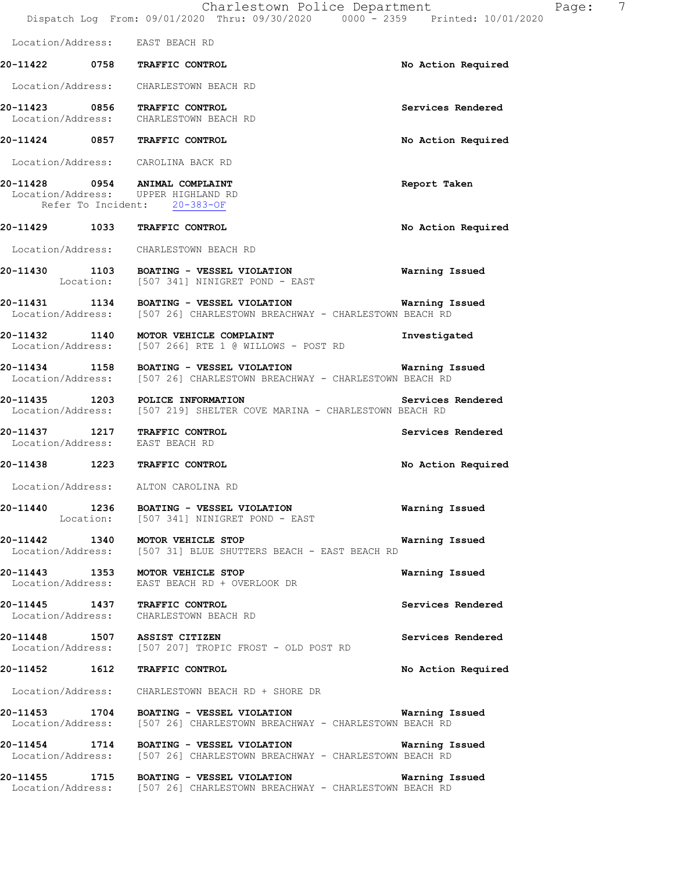|                                 | Charlestown Police Department<br>Dispatch Log From: 09/01/2020 Thru: 09/30/2020 0000 - 2359 Printed: 10/01/2020                              | 7<br>Page:         |
|---------------------------------|----------------------------------------------------------------------------------------------------------------------------------------------|--------------------|
|                                 | Location/Address: EAST BEACH RD                                                                                                              |                    |
|                                 | 20-11422 0758 TRAFFIC CONTROL                                                                                                                | No Action Required |
|                                 | Location/Address: CHARLESTOWN BEACH RD                                                                                                       |                    |
|                                 | 20-11423 0856 TRAFFIC CONTROL<br>Location/Address: CHARLESTOWN BEACH RD                                                                      | Services Rendered  |
|                                 | 20-11424 0857 TRAFFIC CONTROL                                                                                                                | No Action Required |
|                                 | Location/Address: CAROLINA BACK RD                                                                                                           |                    |
|                                 | 20-11428 0954 ANIMAL COMPLAINT<br>Location/Address: UPPER HIGHLAND RD<br>Refer To Incident: 20-383-OF                                        | Report Taken       |
|                                 | 20-11429 1033 TRAFFIC CONTROL                                                                                                                | No Action Required |
|                                 | Location/Address: CHARLESTOWN BEACH RD                                                                                                       |                    |
|                                 | 20-11430 1103 BOATING - VESSEL VIOLATION<br>Location: [507 341] NINIGRET POND - EAST                                                         | Warning Issued     |
|                                 | 20-11431 1134 BOATING - VESSEL VIOLATION 6 7 Warning Issued<br>Location/Address: [507 26] CHARLESTOWN BREACHWAY - CHARLESTOWN BEACH RD       |                    |
|                                 | 20-11432 1140 MOTOR VEHICLE COMPLAINT<br>Location/Address: [507 266] RTE 1 @ WILLOWS - POST RD                                               | Investigated       |
|                                 | 20-11434 1158 BOATING - VESSEL VIOLATION<br><b>Warning Issued</b><br>Location/Address: [507 26] CHARLESTOWN BREACHWAY - CHARLESTOWN BEACH RD |                    |
|                                 | 20-11435 1203 POLICE INFORMATION<br>Location/Address: [507 219] SHELTER COVE MARINA - CHARLESTOWN BEACH RD                                   | Services Rendered  |
| Location/Address: EAST BEACH RD | 20-11437 1217 TRAFFIC CONTROL                                                                                                                | Services Rendered  |
|                                 | 20-11438 1223 TRAFFIC CONTROL                                                                                                                | No Action Required |
|                                 | Location/Address: ALTON CAROLINA RD                                                                                                          |                    |
|                                 | 20-11440 1236 BOATING - VESSEL VIOLATION<br>Location: [507 341] NINIGRET POND - EAST                                                         | Warning Issued     |
|                                 | 20-11442 1340 MOTOR VEHICLE STOP<br>Location/Address: [507 31] BLUE SHUTTERS BEACH - EAST BEACH RD                                           | Warning Issued     |
|                                 | 20-11443 1353 MOTOR VEHICLE STOP<br>Location/Address: EAST BEACH RD + OVERLOOK DR                                                            | Warning Issued     |
|                                 | 20-11445 1437 TRAFFIC CONTROL<br>Location/Address: CHARLESTOWN BEACH RD                                                                      | Services Rendered  |
|                                 | 20-11448 1507 ASSIST CITIZEN<br>Location/Address: [507 207] TROPIC FROST - OLD POST RD                                                       | Services Rendered  |
|                                 | 20-11452 1612 TRAFFIC CONTROL                                                                                                                | No Action Required |
|                                 | Location/Address: CHARLESTOWN BEACH RD + SHORE DR                                                                                            |                    |
|                                 | 20-11453 1704 BOATING - VESSEL VIOLATION 600 Marning Issued<br>Location/Address: [507 26] CHARLESTOWN BREACHWAY - CHARLESTOWN BEACH RD       |                    |
|                                 | 20-11454 1714 BOATING - VESSEL VIOLATION Narning Issued<br>Location/Address: [507 26] CHARLESTOWN BREACHWAY - CHARLESTOWN BEACH RD           |                    |
|                                 | 20-11455 1715 BOATING - VESSEL VIOLATION 6 6 Warning Issued<br>Location/Address: [507 26] CHARLESTOWN BREACHWAY - CHARLESTOWN BEACH RD       |                    |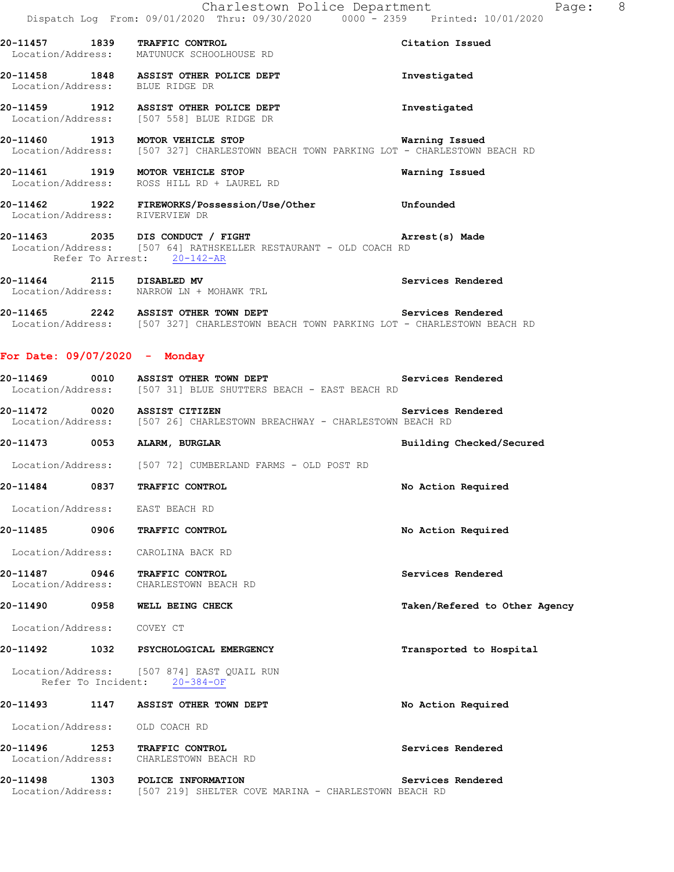| 20-11457                                    | 1839             | TRAFFIC CONTROL<br>Location/Address: MATUNUCK SCHOOLHOUSE RD                                                    | Citation Issued |
|---------------------------------------------|------------------|-----------------------------------------------------------------------------------------------------------------|-----------------|
| 20-11458<br>Location/Address: BLUE RIDGE DR | 1848             | ASSIST OTHER POLICE DEPT                                                                                        | Investigated    |
| 20-11459<br>Location/Address:               | 1912             | ASSIST OTHER POLICE DEPT<br>[507 558] BLUE RIDGE DR                                                             | Investigated    |
| 20-11460<br>Location/Address:               | 1913             | MOTOR VEHICLE STOP<br>[507 327] CHARLESTOWN BEACH TOWN PARKING LOT - CHARLESTOWN BEACH RD                       | Warning Issued  |
| 20-11461                                    | 1919             | MOTOR VEHICLE STOP<br>Location/Address: ROSS HILL RD + LAUREL RD                                                | Warning Issued  |
| 20-11462<br>1922<br>Location/Address:       |                  | FIREWORKS/Possession/Use/Other<br>RIVERVIEW DR                                                                  | Unfounded       |
| 20-11463                                    | Refer To Arrest: | 2035 DIS CONDUCT / FIGHT<br>Location/Address: [507 64] RATHSKELLER RESTAURANT - OLD COACH RD<br>$20 - 142 - AR$ | Arrest(s) Made  |

**20-11464 2115 DISABLED MV Services Rendered**  Location/Address: NARROW LN + MOHAWK TRL

**20-11465 2242 ASSIST OTHER TOWN DEPT Services Rendered**  Location/Address: [507 327] CHARLESTOWN BEACH TOWN PARKING LOT - CHARLESTOWN BEACH RD

#### **For Date: 09/07/2020 - Monday**

| 20-11469          | 0010 |  | <b>ASSIST OTHER TOWN DEPT</b>                |  |  | Services Rendered |  |
|-------------------|------|--|----------------------------------------------|--|--|-------------------|--|
| Location/Address: |      |  | [507 31] BLUE SHUTTERS BEACH - EAST BEACH RD |  |  |                   |  |

**20-11472 0020 ASSIST CITIZEN Services Rendered**  Location/Address: [507 26] CHARLESTOWN BREACHWAY - CHARLESTOWN BEACH RD

**20-11473 0053 ALARM, BURGLAR Building Checked/Secured** 

Location/Address: [507 72] CUMBERLAND FARMS - OLD POST RD

**20-11484 0837 TRAFFIC CONTROL No Action Required** 

Location/Address: EAST BEACH RD

**20-11485 0906 TRAFFIC CONTROL No Action Required**  Location/Address: CAROLINA BACK RD

**20-11487 0946 TRAFFIC CONTROL Services Rendered**  Location/Address: CHARLESTOWN BEACH RD

**20-11490 0958 WELL BEING CHECK Taken/Refered to Other Agency**

Location/Address: COVEY CT

**20-11492 1032 PSYCHOLOGICAL EMERGENCY Transported to Hospital** 

 Location/Address: [507 874] EAST QUAIL RUN Refer To Incident: 20-384-OF

## **20-11493 1147 ASSIST OTHER TOWN DEPT No Action Required**  Location/Address: OLD COACH RD **20-11496 1253 TRAFFIC CONTROL Services Rendered**  Location/Address: CHARLESTOWN BEACH RD

**20-11498 1303 POLICE INFORMATION Services Rendered**  Location/Address: [507 219] SHELTER COVE MARINA - CHARLESTOWN BEACH RD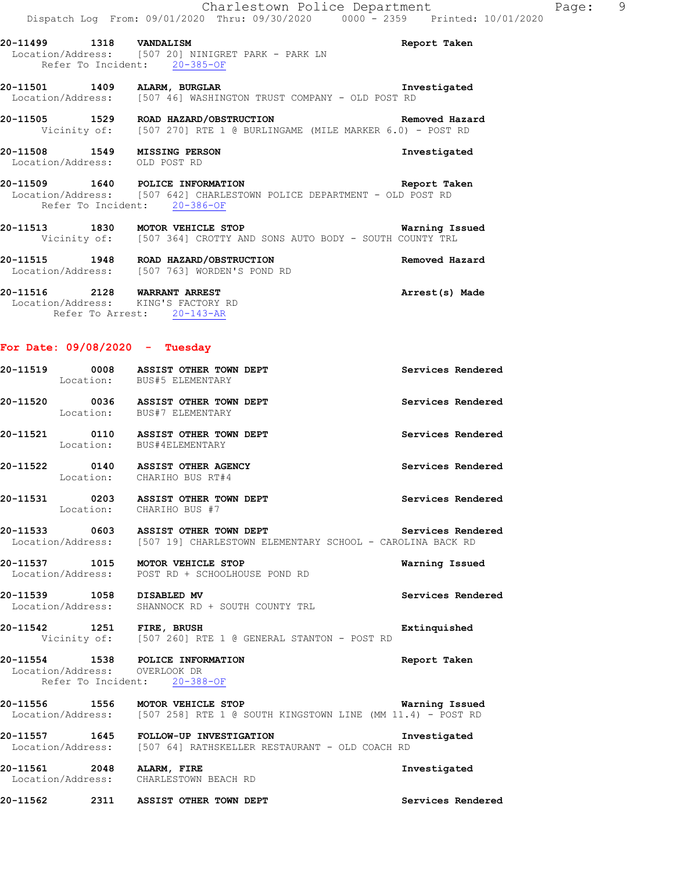|                                                               |                              | Charlestown Police Department                                                                                                      | Dispatch Log From: 09/01/2020 Thru: 09/30/2020 0000 - 2359 Printed: 10/01/2020 |  |
|---------------------------------------------------------------|------------------------------|------------------------------------------------------------------------------------------------------------------------------------|--------------------------------------------------------------------------------|--|
| 20-11499 1318 VANDALISM                                       | Refer To Incident: 20-385-OF | Location/Address: [507 20] NINIGRET PARK - PARK LN                                                                                 | Report Taken                                                                   |  |
|                                                               |                              | 20-11501 1409 ALARM, BURGLAR<br>Location/Address: [507 46] WASHINGTON TRUST COMPANY - OLD POST RD                                  | Investigated                                                                   |  |
|                                                               |                              | 20-11505 1529 ROAD HAZARD/OBSTRUCTION 1999 Removed Hazard<br>Vicinity of: [507 270] RTE 1 @ BURLINGAME (MILE MARKER 6.0) - POST RD |                                                                                |  |
| 20-11508 1549 MISSING PERSON<br>Location/Address: OLD POST RD |                              |                                                                                                                                    | Investigated                                                                   |  |
|                                                               | Refer To Incident: 20-386-OF | 20-11509 1640 POLICE INFORMATION<br>Location/Address: [507 642] CHARLESTOWN POLICE DEPARTMENT - OLD POST RD                        | Report Taken                                                                   |  |
|                                                               |                              | 20-11513 1830 MOTOR VEHICLE STOP<br>Vicinity of: [507 364] CROTTY AND SONS AUTO BODY - SOUTH COUNTY TRL                            | Warning Issued                                                                 |  |
|                                                               |                              | 20-11515 1948 ROAD HAZARD/OBSTRUCTION<br>Location/Address: [507 763] WORDEN'S POND RD                                              | Removed Hazard                                                                 |  |
|                                                               |                              |                                                                                                                                    |                                                                                |  |

**20-11516 2128 WARRANT ARREST Arrest(s) Made**  Location/Address: KING'S FACTORY RD Refer To Arrest: 20-143-AR

## **For Date: 09/08/2020 - Tuesday**

|          |                           | 20-11519 0008 ASSIST OTHER TOWN DEPT<br>Location: BUS#5 ELEMENTARY                                                                        | Services Rendered |
|----------|---------------------------|-------------------------------------------------------------------------------------------------------------------------------------------|-------------------|
|          |                           | 20-11520 0036 ASSIST OTHER TOWN DEPT<br>Location: BUS#7 ELEMENTARY                                                                        | Services Rendered |
|          |                           | 20-11521   0110   ASSIST OTHER TOWN DEPT<br>Location: BUS#4ELEMENTARY                                                                     | Services Rendered |
|          |                           | 20-11522 0140 ASSIST OTHER AGENCY<br>Location: CHARIHO BUS RT#4                                                                           | Services Rendered |
|          |                           | 20-11531 0203 ASSIST OTHER TOWN DEPT<br>Location: CHARIHO BUS #7                                                                          | Services Rendered |
|          |                           | 20-11533 6603 ASSIST OTHER TOWN DEPT SERVICES Rendered<br>Location/Address: [507 19] CHARLESTOWN ELEMENTARY SCHOOL - CAROLINA BACK RD     |                   |
|          |                           | 20-11537 1015 MOTOR VEHICLE STOP<br>Location/Address: POST RD + SCHOOLHOUSE POND RD                                                       | Warning Issued    |
|          | 20-11539 1058 DISABLED MV | Location/Address: SHANNOCK RD + SOUTH COUNTY TRL                                                                                          | Services Rendered |
|          | 20-11542 1251 FIRE, BRUSH | Vicinity of: [507 260] RTE 1 @ GENERAL STANTON - POST RD                                                                                  | Extinquished      |
|          |                           | 20-11554 1538 POLICE INFORMATION<br>Location/Address: OVERLOOK DR<br>Refer To Incident: 20-388-OF                                         | Report Taken      |
|          |                           | <b>Warning Issued</b><br>20-11556 1556 MOTOR VEHICLE STOP<br>Location/Address: [507 258] RTE 1 @ SOUTH KINGSTOWN LINE (MM 11.4) - POST RD |                   |
|          |                           | 20-11557   1645   FOLLOW-UP INVESTIGATION   In Independent In Location/Address: [507 64] RATHSKELLER RESTAURANT - OLD COACH RD            | Investigated      |
|          | 20-11561 2048 ALARM, FIRE | Location/Address: CHARLESTOWN BEACH RD                                                                                                    | Investigated      |
| 20-11562 |                           | 2311 ASSIST OTHER TOWN DEPT                                                                                                               | Services Rendered |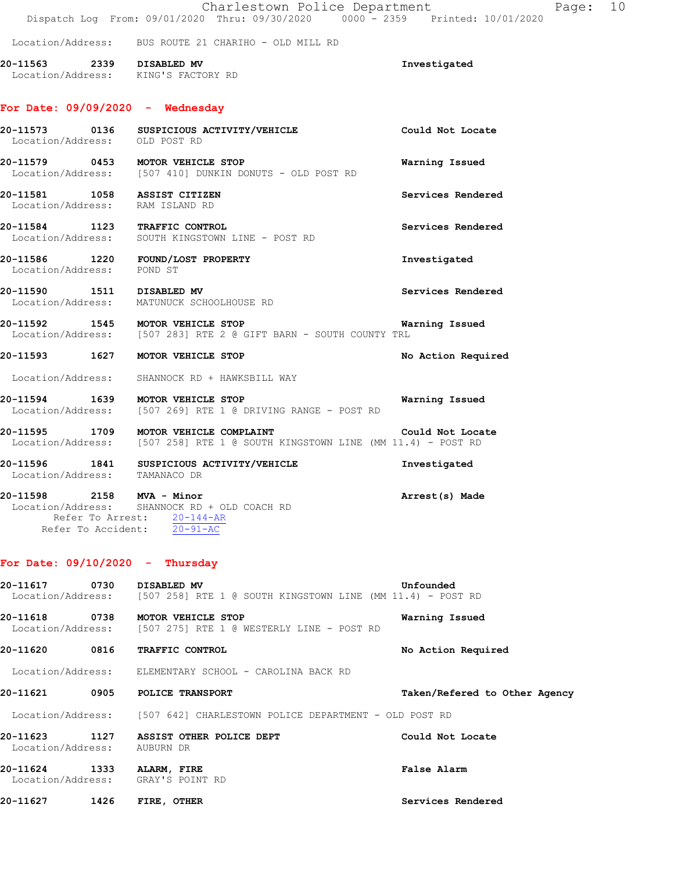|                               | Charlestown Police Department<br>Dispatch Log From: 09/01/2020 Thru: 09/30/2020 0000 - 2359 Printed: 10/01/2020                        | Page: 10                      |
|-------------------------------|----------------------------------------------------------------------------------------------------------------------------------------|-------------------------------|
|                               | Location/Address: BUS ROUTE 21 CHARIHO - OLD MILL RD                                                                                   |                               |
| 20-11563 2339 DISABLED MV     | Location/Address: KING'S FACTORY RD                                                                                                    | Investigated                  |
|                               | For Date: $09/09/2020 -$ Wednesday                                                                                                     |                               |
| Location/Address: OLD POST RD | 20-11573  0136  SUSPICIOUS ACTIVITY/VEHICLE                                                                                            | Could Not Locate              |
|                               | 20-11579 0453 MOTOR VEHICLE STOP<br>Location/Address: [507 410] DUNKIN DONUTS - OLD POST RD                                            | Warning Issued                |
|                               | 20-11581 1058 ASSIST CITIZEN<br>Location/Address: RAM ISLAND RD                                                                        | Services Rendered             |
|                               | 20-11584 1123 TRAFFIC CONTROL<br>Location/Address: SOUTH KINGSTOWN LINE - POST RD                                                      | Services Rendered             |
| Location/Address: POND ST     | 20-11586 1220 FOUND/LOST PROPERTY                                                                                                      | Investigated                  |
| 20-11590 1511 DISABLED MV     | Location/Address: MATUNUCK SCHOOLHOUSE RD                                                                                              | Services Rendered             |
|                               | 20-11592 1545 MOTOR VEHICLE STOP<br>Location/Address: [507 283] RTE 2 @ GIFT BARN - SOUTH COUNTY TRL                                   | Warning Issued                |
|                               | 20-11593 1627 MOTOR VEHICLE STOP                                                                                                       | No Action Required            |
|                               | Location/Address: SHANNOCK RD + HAWKSBILL WAY                                                                                          |                               |
|                               | 20-11594 1639 MOTOR VEHICLE STOP<br>Location/Address: [507 269] RTE 1 @ DRIVING RANGE - POST RD                                        | Warning Issued                |
|                               | 20-11595 1709 MOTOR VEHICLE COMPLAINT Could Not Loca<br>Location/Address: [507 258] RTE 1 @ SOUTH KINGSTOWN LINE (MM 11.4) - POST RD   | Could Not Locate              |
|                               | 20-11596 1841 SUSPICIOUS ACTIVITY/VEHICLE<br>Location/Address: TAMANACO DR                                                             | Investigated                  |
|                               | 20-11598 2158 MVA - Minor<br>Location/Address: SHANNOCK RD + OLD COACH RD<br>Refer To Arrest: 20-144-AR<br>Refer To Accident: 20-91-AC | Arrest(s) Made                |
|                               | For Date: $09/10/2020$ - Thursday                                                                                                      |                               |
| 20-11617 0730 DISABLED MV     | Location/Address: $[507 258]$ RTE 1 @ SOUTH KINGSTOWN LINE (MM 11.4) - POST RD                                                         | Unfounded                     |
|                               | 20-11618 0738 MOTOR VEHICLE STOP<br>Location/Address: [507 275] RTE 1 @ WESTERLY LINE - POST RD                                        | Warning Issued                |
|                               | 20-11620 0816 TRAFFIC CONTROL                                                                                                          | No Action Required            |
|                               | Location/Address: ELEMENTARY SCHOOL - CAROLINA BACK RD                                                                                 |                               |
|                               | 20-11621 0905 POLICE TRANSPORT                                                                                                         | Taken/Refered to Other Agency |
|                               | Location/Address: [507 642] CHARLESTOWN POLICE DEPARTMENT - OLD POST RD                                                                |                               |
| Location/Address: AUBURN DR   | 20-11623 1127 ASSIST OTHER POLICE DEPT                                                                                                 | Could Not Locate              |
| 20-11624 1333 ALARM, FIRE     | Location/Address: GRAY'S POINT RD                                                                                                      | False Alarm                   |
| 20-11627 1426 FIRE, OTHER     |                                                                                                                                        | Services Rendered             |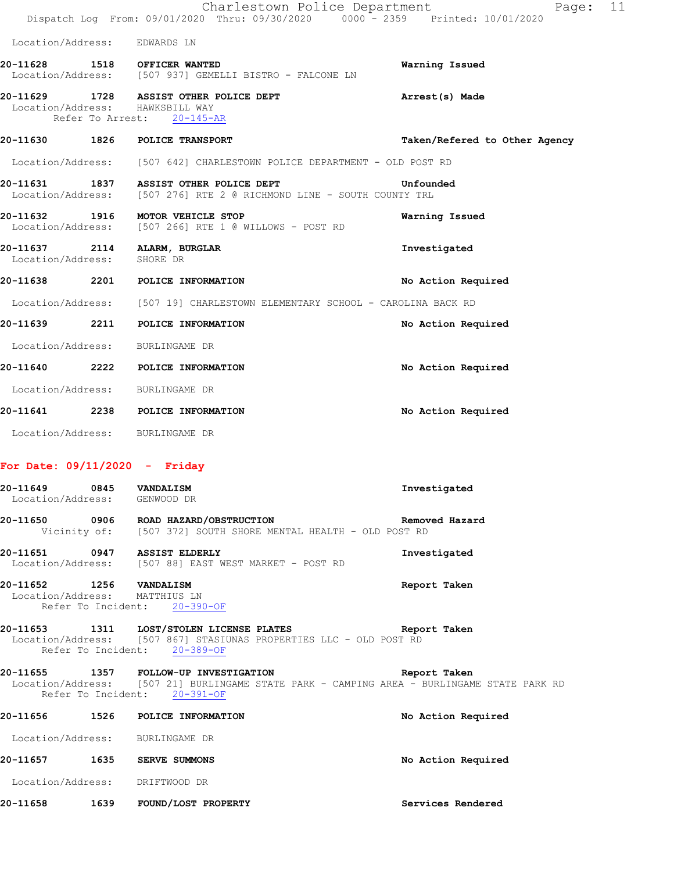|                   |                  | Charlestown Police Department<br>Dispatch Log From: 09/01/2020 Thru: 09/30/2020 0000 <sup>-</sup> 2359 Printed: 10/01/2020 | Page:                         | 11 |
|-------------------|------------------|----------------------------------------------------------------------------------------------------------------------------|-------------------------------|----|
|                   |                  | Location/Address: EDWARDS LN                                                                                               |                               |    |
|                   |                  | 20-11628 1518 OFFICER WANTED<br>Location/Address: [507 937] GEMELLI BISTRO - FALCONE LN                                    | Warning Issued                |    |
|                   | Refer To Arrest: | 20-11629 1728 ASSIST OTHER POLICE DEPT<br>Location/Address: HAWKSBILL WAY<br>$20 - 145 - AR$                               | Arrest(s) Made                |    |
|                   |                  | 20-11630 1826 POLICE TRANSPORT                                                                                             | Taken/Refered to Other Agency |    |
|                   |                  | Location/Address: [507 642] CHARLESTOWN POLICE DEPARTMENT - OLD POST RD                                                    |                               |    |
|                   |                  | 20-11631 1837 ASSIST OTHER POLICE DEPT<br>Location/Address: [507 276] RTE 2 @ RICHMOND LINE - SOUTH COUNTY TRL             | Unfounded                     |    |
|                   |                  | 20-11632 1916 MOTOR VEHICLE STOP<br>Location/Address: [507 266] RTE 1 @ WILLOWS - POST RD                                  | Warning Issued                |    |
| Location/Address: |                  | 20-11637 2114 ALARM, BURGLAR<br>SHORE DR                                                                                   | Investigated                  |    |
|                   |                  | 20-11638 2201 POLICE INFORMATION                                                                                           | No Action Required            |    |
|                   |                  | Location/Address: [507 19] CHARLESTOWN ELEMENTARY SCHOOL - CAROLINA BACK RD                                                |                               |    |
|                   |                  | 20-11639 2211 POLICE INFORMATION                                                                                           | No Action Required            |    |
| Location/Address: |                  | BURLINGAME DR                                                                                                              |                               |    |
|                   |                  | 20-11640 2222 POLICE INFORMATION                                                                                           | No Action Required            |    |
| Location/Address: |                  | BURLINGAME DR                                                                                                              |                               |    |
|                   |                  | 20-11641 2238 POLICE INFORMATION                                                                                           | No Action Required            |    |
| Location/Address: |                  | BURLINGAME DR                                                                                                              |                               |    |

## **For Date: 09/11/2020 - Friday**

| 20-11649 0845 VANDALISM<br>Location/Address: GENWOOD DR  |                                                                                                                                                                     | Investigated       |
|----------------------------------------------------------|---------------------------------------------------------------------------------------------------------------------------------------------------------------------|--------------------|
|                                                          | 20-11650 0906 ROAD HAZARD/OBSTRUCTION CONTROLLER Removed Hazard<br>Vicinity of: [507 372] SOUTH SHORE MENTAL HEALTH - OLD POST RD                                   |                    |
|                                                          | 20-11651 0947 ASSIST ELDERLY<br>Location/Address: [507 88] EAST WEST MARKET - POST RD                                                                               | Investigated       |
| 20-11652 1256 VANDALISM<br>Location/Address: MATTHIUS LN | Refer To Incident: 20-390-OF                                                                                                                                        | Report Taken       |
|                                                          | 20-11653 1311 LOST/STOLEN LICENSE PLATES Neport Taken<br>Location/Address: [507 867] STASIUNAS PROPERTIES LLC - OLD POST RD<br>Refer To Incident: 20-389-OF         |                    |
|                                                          | 20-11655 1357 FOLLOW-UP INVESTIGATION<br>Location/Address: [507 21] BURLINGAME STATE PARK - CAMPING AREA - BURLINGAME STATE PARK RD<br>Refer To Incident: 20-391-OF | Report Taken       |
|                                                          | 20-11656 1526 POLICE INFORMATION                                                                                                                                    | No Action Required |
|                                                          | Location/Address: BURLINGAME DR                                                                                                                                     |                    |
|                                                          | 20-11657 1635 SERVE SUMMONS                                                                                                                                         | No Action Required |
| Location/Address: DRIFTWOOD DR                           |                                                                                                                                                                     |                    |
|                                                          | 20-11658 1639 FOUND/LOST PROPERTY                                                                                                                                   | Services Rendered  |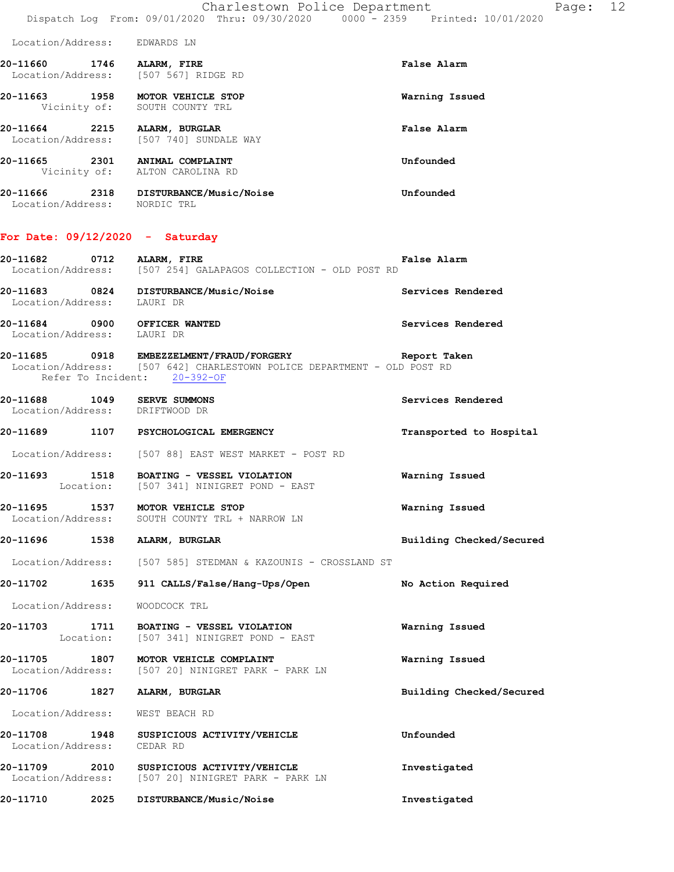Charlestown Police Department Page: 12 Dispatch Log From: 09/01/2020 Thru: 09/30/2020 0000 - 2359 Printed: 10/01/2020

| Location/Address: | EDWARDS LN |  |
|-------------------|------------|--|
|-------------------|------------|--|

- **20-11660 1746 ALARM, FIRE False Alarm**  Location/Address: [507 567] RIDGE RD **20-11663 1958 MOTOR VEHICLE STOP Warning Issued**  Vicinity of: SOUTH COUNTY TRL **20-11664 2215 ALARM, BURGLAR False Alarm**  Location/Address: [507 740] SUNDALE WAY **20-11665 2301 ANIMAL COMPLAINT Unfounded**  Vicinity of: ALTON CAROLINA RD
- **20-11666 2318 DISTURBANCE/Music/Noise Unfounded**  Location/Address: NORDIC TRL

#### **For Date: 09/12/2020 - Saturday**

| 20-11682          | 0712 | ALARM, FIRE |                                              |  |  | <b>False Alarm</b> |  |
|-------------------|------|-------------|----------------------------------------------|--|--|--------------------|--|
| Location/Address: |      |             | [507 254] GALAPAGOS COLLECTION - OLD POST RD |  |  |                    |  |

- **20-11683 0824 DISTURBANCE/Music/Noise Services Rendered**  Location/Address: LAURI DR
- **20-11684 0900 OFFICER WANTED Services Rendered**  Location/Address: LAURI DR
- **20-11685 0918 EMBEZZELMENT/FRAUD/FORGERY Report Taken**  Location/Address: [507 642] CHARLESTOWN POLICE DEPARTMENT - OLD POST RD Refer To Incident: 20-392-OF
- **20-11688 1049 SERVE SUMMONS Services Rendered**  Location/Address: DRIFTWOOD DR
- **20-11689 1107 PSYCHOLOGICAL EMERGENCY Transported to Hospital** 
	- Location/Address: [507 88] EAST WEST MARKET POST RD
- **20-11693 1518 BOATING VESSEL VIOLATION Warning Issued**  Location: [507 341] NINIGRET POND - EAST
- **20-11695 1537 MOTOR VEHICLE STOP Warning Issued**  Location/Address: SOUTH COUNTY TRL + NARROW LN
- **20-11696 1538 ALARM, BURGLAR Building Checked/Secured** 
	- Location/Address: [507 585] STEDMAN & KAZOUNIS CROSSLAND ST
- **20-11702 1635 911 CALLS/False/Hang-Ups/Open No Action Required**
- Location/Address: WOODCOCK TRL
- **20-11703 1711 BOATING VESSEL VIOLATION Warning Issued**  Location: [507 341] NINIGRET POND - EAST
- **20-11705 1807 MOTOR VEHICLE COMPLAINT Warning Issued**  Location/Address: [507 20] NINIGRET PARK - PARK LN
- **20-11706 1827 ALARM, BURGLAR Building Checked/Secured**
- Location/Address: WEST BEACH RD
- **20-11708 1948 SUSPICIOUS ACTIVITY/VEHICLE Unfounded**  Location/Address: CEDAR RD
- **20-11709 2010 SUSPICIOUS ACTIVITY/VEHICLE Investigated**  Location/Address: [507 20] NINIGRET PARK - PARK LN
- **20-11710 2025 DISTURBANCE/Music/Noise Investigated**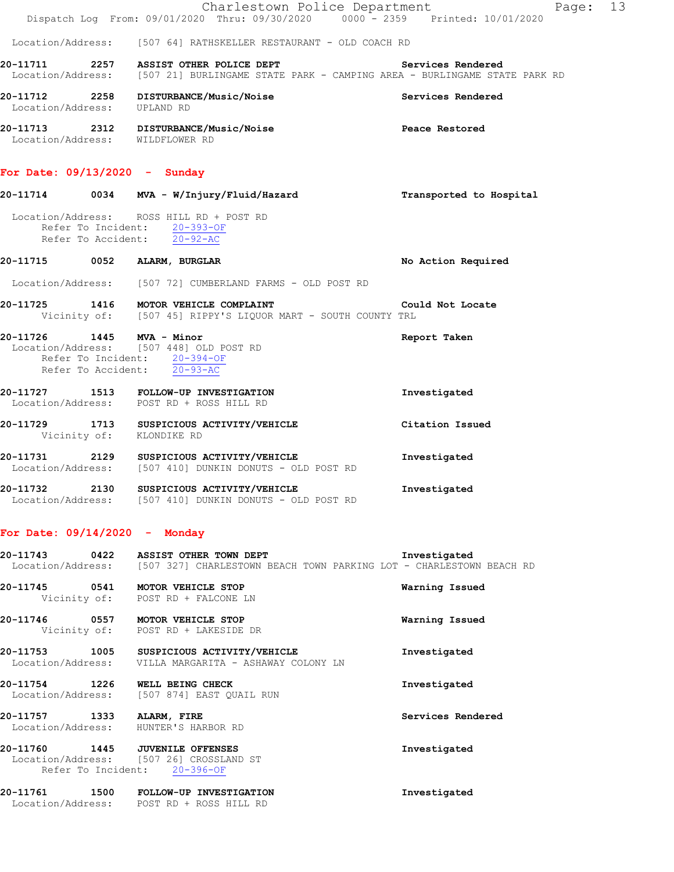|                                 |      | Charlestown Police Department                                    | Page:                                                                                                           | 13 |
|---------------------------------|------|------------------------------------------------------------------|-----------------------------------------------------------------------------------------------------------------|----|
|                                 |      |                                                                  | Dispatch Log From: 09/01/2020 Thru: 09/30/2020 0000 - 2359 Printed: 10/01/2020                                  |    |
|                                 |      | Location/Address: [507 64] RATHSKELLER RESTAURANT - OLD COACH RD |                                                                                                                 |    |
| 20-11711                        | 2257 | ASSIST OTHER POLICE DEPT                                         | Services Rendered<br>Location/Address: [507 21] BURLINGAME STATE PARK - CAMPING AREA - BURLINGAME STATE PARK RD |    |
| 20-11712<br>Location/Address:   | 2258 | DISTURBANCE/Music/Noise<br>UPLAND RD                             | Services Rendered                                                                                               |    |
| 20-11713                        | 2312 | DISTURBANCE/Music/Noise<br>Location/Address: WILDFLOWER RD       | Peace Restored                                                                                                  |    |
| For Date: $09/13/2020 -$ Sunday |      |                                                                  |                                                                                                                 |    |
| 20-11714                        | 0034 | MVA - W/Injury/Fluid/Hazard                                      | Transported to Hospital                                                                                         |    |
|                                 |      | Location/Address: ROSS HILL RD + POST RD                         |                                                                                                                 |    |

**20-11715 0052 ALARM, BURGLAR No Action Required** 

**20-11725 1416 MOTOR VEHICLE COMPLAINT Could Not Locate** 

**20-11726 1445 MVA - Minor Report Taken** 

**20-11727 1513 FOLLOW-UP INVESTIGATION Investigated** 

**20-11731 2129 SUSPICIOUS ACTIVITY/VEHICLE Investigated** 

**20-11732 2130 SUSPICIOUS ACTIVITY/VEHICLE Investigated** 

**20-11729 1713 SUSPICIOUS ACTIVITY/VEHICLE Citation Issued** 

Vicinity of: [507 45] RIPPY'S LIQUOR MART - SOUTH COUNTY TRL

Location/Address: [507 72] CUMBERLAND FARMS - OLD POST RD

Location/Address: [507 410] DUNKIN DONUTS - OLD POST RD

Location/Address: [507 410] DUNKIN DONUTS - OLD POST RD

#### **For Date: 09/14/2020 - Monday**

Vicinity of: KLONDIKE RD

Refer To Incident: 20-393-OF Refer To Accident: 20-92-AC

 Location/Address: [507 448] OLD POST RD Refer To Incident: 20-394-OF Refer To Accident: 20-93-AC

Location/Address: POST RD + ROSS HILL RD

| 20-11743<br>0422                   | ASSIST OTHER TOWN DEPT<br>Location/Address: [507 327] CHARLESTOWN BEACH TOWN PARKING LOT - CHARLESTOWN BEACH RD | Investigated      |
|------------------------------------|-----------------------------------------------------------------------------------------------------------------|-------------------|
| 20-11745                           | 0541 MOTOR VEHICLE STOP<br>Vicinity of: POST RD + FALCONE LN                                                    | Warning Issued    |
| 0557<br>20-11746                   | MOTOR VEHICLE STOP<br>Vicinity of: POST RD + LAKESIDE DR                                                        | Warning Issued    |
| 20-11753                           | 1005 SUSPICIOUS ACTIVITY/VEHICLE<br>Location/Address: VILLA MARGARITA - ASHAWAY COLONY LN                       | Investigated      |
| 1226<br>20-11754                   | WELL BEING CHECK<br>Location/Address: [507 874] EAST QUAIL RUN                                                  | Investigated      |
| 20-11757 1333<br>Location/Address: | ALARM, FIRE<br>HUNTER'S HARBOR RD                                                                               | Services Rendered |
| 20-11760 1445                      | <b>JUVENILE OFFENSES</b><br>Location/Address: [507 26] CROSSLAND ST<br>Refer To Incident: 20-396-OF             | Investigated      |
| 20-11761 1500<br>Location/Address: | FOLLOW-UP INVESTIGATION<br>POST RD + ROSS HILL RD                                                               | Investigated      |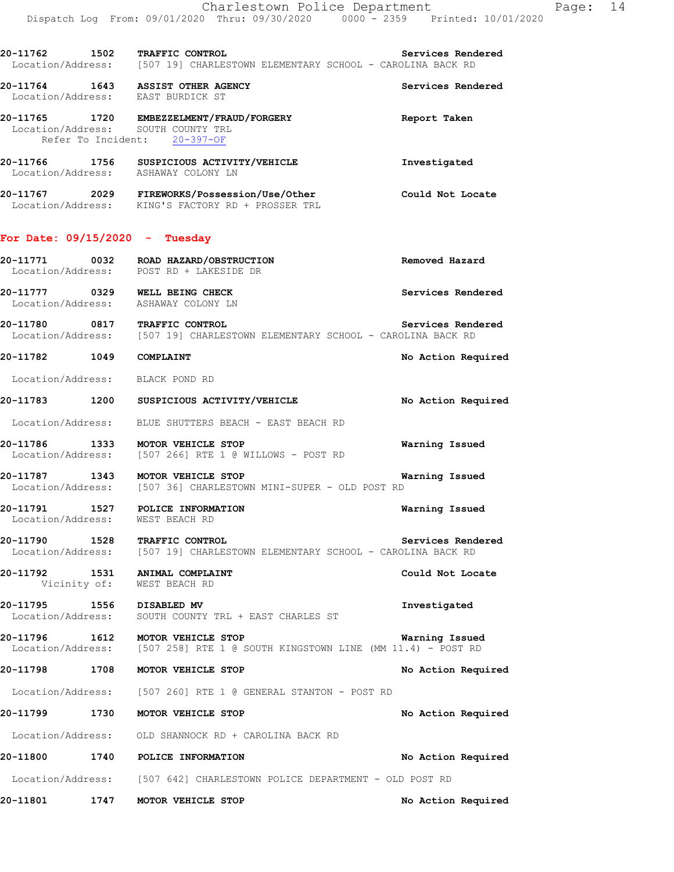| 20-11762 1502                                                          | TRAFFIC CONTROL<br>Location/Address: [507 19] CHARLESTOWN ELEMENTARY SCHOOL - CAROLINA BACK RD                          | Services Rendered  |
|------------------------------------------------------------------------|-------------------------------------------------------------------------------------------------------------------------|--------------------|
| 20-11764 1643 ASSIST OTHER AGENCY<br>Location/Address: EAST BURDICK ST |                                                                                                                         | Services Rendered  |
|                                                                        | 20-11765 1720 EMBEZZELMENT/FRAUD/FORGERY<br>Location/Address: SOUTH COUNTY TRL<br>Refer To Incident: 20-397-OF          | Report Taken       |
|                                                                        | 20-11766 1756 SUSPICIOUS ACTIVITY/VEHICLE<br>Location/Address: ASHAWAY COLONY LN                                        | Investigated       |
|                                                                        | 20-11767  2029  FIREWORKS/Possession/Use/Other<br>Location/Address:  KING'S FACTORY RD + PROSSER TRL                    | Could Not Locate   |
| For Date: $09/15/2020 -$ Tuesday                                       |                                                                                                                         |                    |
|                                                                        | Location/Address: POST RD + LAKESIDE DR                                                                                 | Removed Hazard     |
| 20-11777 0329 WELL BEING CHECK<br>Location/Address: ASHAWAY COLONY LN  |                                                                                                                         | Services Rendered  |
| 20-11780                                                               | 11780 0817 TRAFFIC CONTROL Services Rend<br>Location/Address: [507 19] CHARLESTOWN ELEMENTARY SCHOOL - CAROLINA BACK RD | Services Rendered  |
| 20-11782 1049                                                          | COMPLAINT                                                                                                               | No Action Required |
| Location/Address: BLACK POND RD                                        |                                                                                                                         |                    |
|                                                                        | 20-11783 1200 SUSPICIOUS ACTIVITY/VEHICLE                                                                               | No Action Required |
|                                                                        | Location/Address: BLUE SHUTTERS BEACH - EAST BEACH RD                                                                   |                    |
| 20-11786 1333                                                          | MOTOR VEHICLE STOP<br>Location/Address: [507 266] RTE 1 @ WILLOWS - POST RD                                             | Warning Issued     |
| 20-11787                                                               | J-11787 1343 MOTOR VEHICLE STOP<br>Location/Address: [507 36] CHARLESTOWN MINI-SUPER - OLD POST RD                      | Warning Issued     |
| 20-11791<br>Location/Address:                                          | 1527 POLICE INFORMATION<br>WEST BEACH RD                                                                                | Warning Issued     |
| 20-11790 1528 TRAFFIC CONTROL                                          | Location/Address: [507 19] CHARLESTOWN ELEMENTARY SCHOOL - CAROLINA BACK RD                                             | Services Rendered  |
| 20-11792 1531 ANIMAL COMPLAINT<br>Vicinity of: WEST BEACH RD           |                                                                                                                         | Could Not Locate   |

**20-11795 1556 DISABLED MV Investigated**  Location/Address: SOUTH COUNTY TRL + EAST CHARLES ST

**20-11796 1612 MOTOR VEHICLE STOP Warning Issued**  Location/Address: [507 258] RTE 1 @ SOUTH KINGSTOWN LINE (MM 11.4) - POST RD

**20-11798 1708 MOTOR VEHICLE STOP No Action Required** 

Location/Address: [507 260] RTE 1 @ GENERAL STANTON - POST RD

## **20-11799 1730 MOTOR VEHICLE STOP No Action Required**

Location/Address: OLD SHANNOCK RD + CAROLINA BACK RD

**20-11800 1740 POLICE INFORMATION No Action Required**  Location/Address: [507 642] CHARLESTOWN POLICE DEPARTMENT - OLD POST RD

**20-11801 1747 MOTOR VEHICLE STOP No Action Required**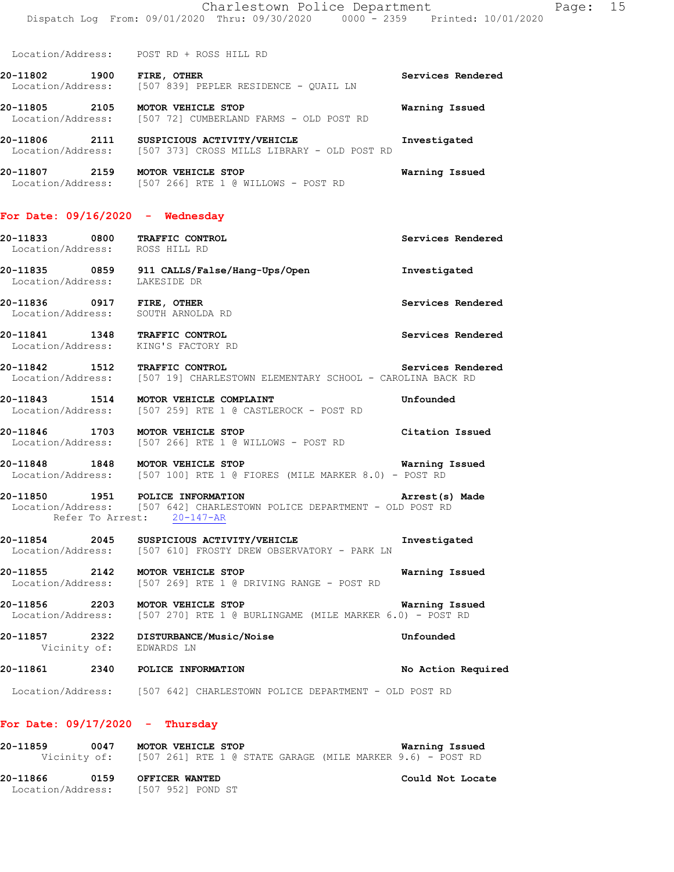Location/Address: POST RD + ROSS HILL RD

**20-11802 1900 FIRE, OTHER Services Rendered**  Location/Address: [507 839] PEPLER RESIDENCE - QUAIL LN

**20-11805 2105 MOTOR VEHICLE STOP Warning Issued**  Location/Address: [507 72] CUMBERLAND FARMS - OLD POST RD

**20-11806 2111 SUSPICIOUS ACTIVITY/VEHICLE Investigated**  Location/Address: [507 373] CROSS MILLS LIBRARY - OLD POST RD

**20-11807 2159 MOTOR VEHICLE STOP Warning Issued**  Location/Address: [507 266] RTE 1 @ WILLOWS - POST RD

#### **For Date: 09/16/2020 - Wednesday**

**20-11833 0800 TRAFFIC CONTROL Services Rendered**  Location/Address: ROSS HILL RD

**20-11835 0859 911 CALLS/False/Hang-Ups/Open Investigated**  Location/Address: LAKESIDE DR

**20-11836 0917 FIRE, OTHER Services Rendered**  Location/Address: SOUTH ARNOLDA RD

**20-11841 1348 TRAFFIC CONTROL Services Rendered**  Location/Address: KING'S FACTORY RD

**20-11842 1512 TRAFFIC CONTROL Services Rendered**  Location/Address: [507 19] CHARLESTOWN ELEMENTARY SCHOOL - CAROLINA BACK RD

**20-11843 1514 MOTOR VEHICLE COMPLAINT 11843** Unfounded Location/Address: [507 259] RTE 1 @ CASTLEROCK - POST RD [507 259] RTE 1 @ CASTLEROCK - POST RD

**20-11846 1703 MOTOR VEHICLE STOP Citation Issued**  Location/Address: [507 266] RTE 1 @ WILLOWS - POST RD

**20-11848 1848 MOTOR VEHICLE STOP Warning Issued**  Location/Address: [507 100] RTE 1 @ FIORES (MILE MARKER 8.0) - POST RD

**20-11850 1951 POLICE INFORMATION Arrest(s) Made**  Location/Address: [507 642] CHARLESTOWN POLICE DEPARTMENT - OLD POST RD Refer To Arrest: 20-147-AR

**20-11854 2045 SUSPICIOUS ACTIVITY/VEHICLE Investigated**  Location/Address: [507 610] FROSTY DREW OBSERVATORY - PARK LN

**20-11855 2142 MOTOR VEHICLE STOP Warning Issued**  Location/Address: [507 269] RTE 1 @ DRIVING RANGE - POST RD

**20-11856 2203 MOTOR VEHICLE STOP WARKER 6.0)** - POST RD Location/Address: [507 270] RTE 1 @ BURLINGAME (MILE MARKER 6.0) - POST RD [507 270] RTE 1 @ BURLINGAME (MILE MARKER 6.0) - POST RD

**20-11857 2322 DISTURBANCE/Music/Noise Unfounded**  Vicinity of: EDWARDS LN

**20-11861 2340 POLICE INFORMATION No Action Required** 

Location/Address: [507 642] CHARLESTOWN POLICE DEPARTMENT - OLD POST RD

#### **For Date: 09/17/2020 - Thursday**

**20-11859 0047 MOTOR VEHICLE STOP Warning Issued**  Vicinity of: [507 261] RTE 1 @ STATE GARAGE (MILE MARKER 9.6) - POST RD **20-11866 0159 OFFICER WANTED Could Not Locate**  Location/Address: [507 952] POND ST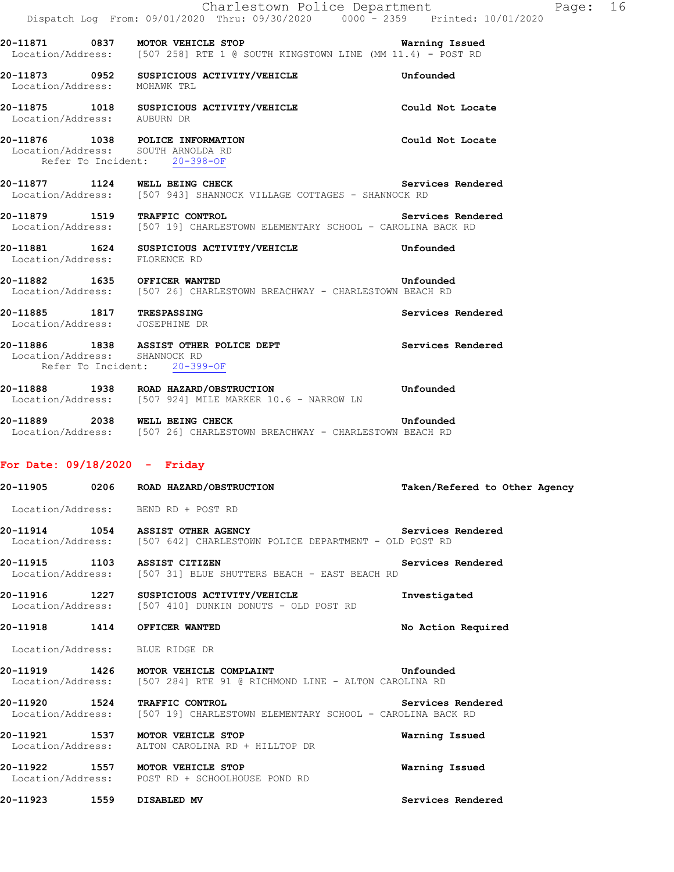|                                                             | Charlestown Police Department<br>Dispatch Log From: 09/01/2020 Thru: 09/30/2020 0000 <sup>-</sup> 2359 Printed: 10/01/2020                    | Page: 16                      |
|-------------------------------------------------------------|-----------------------------------------------------------------------------------------------------------------------------------------------|-------------------------------|
|                                                             | <b>20-11871 0837 MOTOR VEHICLE STOP MATRIC MATRIQ ISSUED</b><br>Location/Address: [507 258] RTE 1 @ SOUTH KINGSTOWN LINE (MM 11.4) - POST RD  | Warning Issued                |
|                                                             | 20-11873 0952 SUSPICIOUS ACTIVITY/VEHICLE<br>Location/Address: MOHAWK TRL                                                                     | Unfounded                     |
|                                                             | 20-11875 1018 SUSPICIOUS ACTIVITY/VEHICLE<br>Location/Address: AUBURN DR                                                                      | Could Not Locate              |
|                                                             | 20-11876 1038 POLICE INFORMATION<br>Location/Address: SOUTH ARNOLDA RD<br>Refer To Incident: 20-398-OF                                        | Could Not Locate              |
|                                                             | 20-11877 1124 WELL BEING CHECK<br>Location/Address: [507 943] SHANNOCK VILLAGE COTTAGES - SHANNOCK RD                                         | Services Rendered             |
|                                                             | 20-11879 1519 TRAFFIC CONTROL<br>Location/Address: [507 19] CHARLESTOWN ELEMENTARY SCHOOL - CAROLINA BACK RD                                  | Services Rendered             |
| Location/Address: FLORENCE RD                               | 20-11881 1624 SUSPICIOUS ACTIVITY/VEHICLE                                                                                                     | Unfounded                     |
| 20-11882 1635 OFFICER WANTED                                | Location/Address: [507 26] CHARLESTOWN BREACHWAY - CHARLESTOWN BEACH RD                                                                       | Unfounded                     |
| 20-11885 1817 TRESPASSING<br>Location/Address: JOSEPHINE DR |                                                                                                                                               | Services Rendered             |
|                                                             | 20-11886 1838 ASSIST OTHER POLICE DEPT<br>Location/Address: SHANNOCK RD<br>Refer To Incident: 20-399-OF                                       | Services Rendered             |
|                                                             | 20-11888 1938 ROAD HAZARD/OBSTRUCTION<br>Location/Address: [507 924] MILE MARKER 10.6 - NARROW LN                                             | Unfounded                     |
|                                                             | 20-11889 2038 WELL BEING CHECK<br>Unfounded<br>Location/Address: [507 26] CHARLESTOWN BREACHWAY - CHARLESTOWN BEACH RD                        |                               |
| For Date: $09/18/2020 -$ Friday                             |                                                                                                                                               |                               |
|                                                             | 20-11905 0206 ROAD HAZARD/OBSTRUCTION                                                                                                         | Taken/Refered to Other Agency |
|                                                             | Location/Address: BEND RD + POST RD                                                                                                           |                               |
|                                                             | 20-11914   1054   ASSIST OTHER AGENCY   Services<br>Location/Address: [507 642] CHARLESTOWN POLICE DEPARTMENT - OLD POST RD                   | Services Rendered             |
|                                                             | 20-11915 1103 ASSIST CITIZEN<br>Location/Address: [507 31] BLUE SHUTTERS BEACH - EAST BEACH RD                                                | Services Rendered             |
|                                                             | 20-11916 1227 SUSPICIOUS ACTIVITY/VEHICLE<br>Location/Address: [507 410] DUNKIN DONUTS - OLD POST RD                                          | Investigated                  |
| 20-11918  1414  OFFICER WANTED                              |                                                                                                                                               | No Action Required            |
| Location/Address: BLUE RIDGE DR                             |                                                                                                                                               |                               |
|                                                             | 20-11919 1426 MOTOR VEHICLE COMPLAINT<br><b>Example 1</b> Unfounded<br>Location/Address: [507 284] RTE 91 @ RICHMOND LINE - ALTON CAROLINA RD |                               |
|                                                             | 20-11920 1524 TRAFFIC CONTROL<br>Location/Address: [507 19] CHARLESTOWN ELEMENTARY SCHOOL - CAROLINA BACK RD                                  | Services Rendered             |
|                                                             | 20-11921 1537 MOTOR VEHICLE STOP<br>Location/Address: ALTON CAROLINA RD + HILLTOP DR                                                          | Warning Issued                |
|                                                             | 20-11922 1557 MOTOR VEHICLE STOP<br>Location/Address: POST RD + SCHOOLHOUSE POND RD                                                           | Warning Issued                |
| 20-11923 1559 DISABLED MV                                   |                                                                                                                                               | Services Rendered             |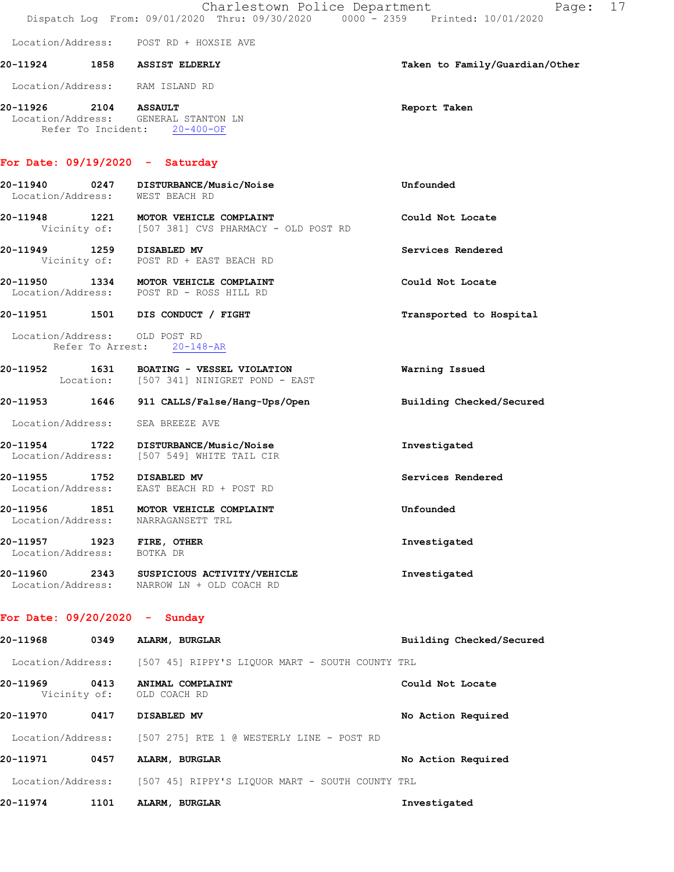|                   |      | Charlestown Police Department<br>Dispatch Log From: 09/01/2020 Thru: 09/30/2020 0000 - 2359 Printed: 10/01/2020 | Page: 17                       |
|-------------------|------|-----------------------------------------------------------------------------------------------------------------|--------------------------------|
|                   |      | Location/Address: POST RD + HOXSIE AVE                                                                          |                                |
|                   |      | 20-11924 1858 ASSIST ELDERLY                                                                                    | Taken to Family/Guardian/Other |
|                   |      | Location/Address: RAM ISLAND RD                                                                                 |                                |
|                   |      | 20-11926 2104 ASSAULT<br>Location/Address: GENERAL STANTON LN<br>Refer To Incident: 20-400-OF                   | Report Taken                   |
|                   |      | For Date: $09/19/2020 -$ Saturday                                                                               |                                |
|                   |      | 20-11940 0247 DISTURBANCE/Music/Noise<br>Location/Address: WEST BEACH RD                                        | Unfounded                      |
|                   |      | 20-11948 1221 MOTOR VEHICLE COMPLAINT<br>Vicinity of: [507 381] CVS PHARMACY - OLD POST RD                      | Could Not Locate               |
|                   |      | 20-11949 1259 DISABLED MV<br>Vicinity of: POST RD + EAST BEACH RD                                               | Services Rendered              |
|                   |      | 20-11950 1334 MOTOR VEHICLE COMPLAINT<br>Location/Address: POST RD - ROSS HILL RD                               | Could Not Locate               |
|                   |      | 20-11951 1501 DIS CONDUCT / FIGHT                                                                               | Transported to Hospital        |
|                   |      | Location/Address: OLD POST RD<br>Refer To Arrest: 20-148-AR                                                     |                                |
|                   |      | 20-11952 1631 BOATING - VESSEL VIOLATION<br>Location: [507 341] NINIGRET POND - EAST                            | Warning Issued                 |
|                   |      | 20-11953 1646 911 CALLS/False/Hang-Ups/Open                                                                     | Building Checked/Secured       |
|                   |      | Location/Address: SEA BREEZE AVE                                                                                |                                |
|                   |      | 20-11954 1722 DISTURBANCE/Music/Noise<br>Location/Address: [507 549] WHITE TAIL CIR                             | Investigated                   |
|                   |      | 20-11955 1752 DISABLED MV<br>Location/Address: EAST BEACH RD + POST RD                                          | Services Rendered              |
|                   |      | 20-11956 1851 MOTOR VEHICLE COMPLAINT<br>Location/Address: NARRAGANSETT TRL                                     | Unfounded                      |
| Location/Address: |      | 20-11957 1923 FIRE, OTHER<br>BOTKA DR                                                                           | Investigated                   |
|                   |      | 20-11960 2343 SUSPICIOUS ACTIVITY/VEHICLE<br>Location/Address: NARROW LN + OLD COACH RD                         | Investigated                   |
|                   |      | For Date: $09/20/2020 -$ Sunday                                                                                 |                                |
| 20-11968          |      | 0349 ALARM, BURGLAR                                                                                             | Building Checked/Secured       |
|                   |      | Location/Address: [507 45] RIPPY'S LIQUOR MART - SOUTH COUNTY TRL                                               |                                |
|                   |      | 20-11969 0413 ANIMAL COMPLAINT<br>Vicinity of: OLD COACH RD                                                     | Could Not Locate               |
| 20-11970 0417     |      | <b>DISABLED MV</b>                                                                                              | No Action Required             |
|                   |      | Location/Address: [507 275] RTE 1 @ WESTERLY LINE - POST RD                                                     |                                |
| 20-11971          |      | 0457 ALARM, BURGLAR                                                                                             | No Action Required             |
|                   |      | Location/Address: [507 45] RIPPY'S LIQUOR MART - SOUTH COUNTY TRL                                               |                                |
| 20-11974          | 1101 | ALARM, BURGLAR                                                                                                  | Investigated                   |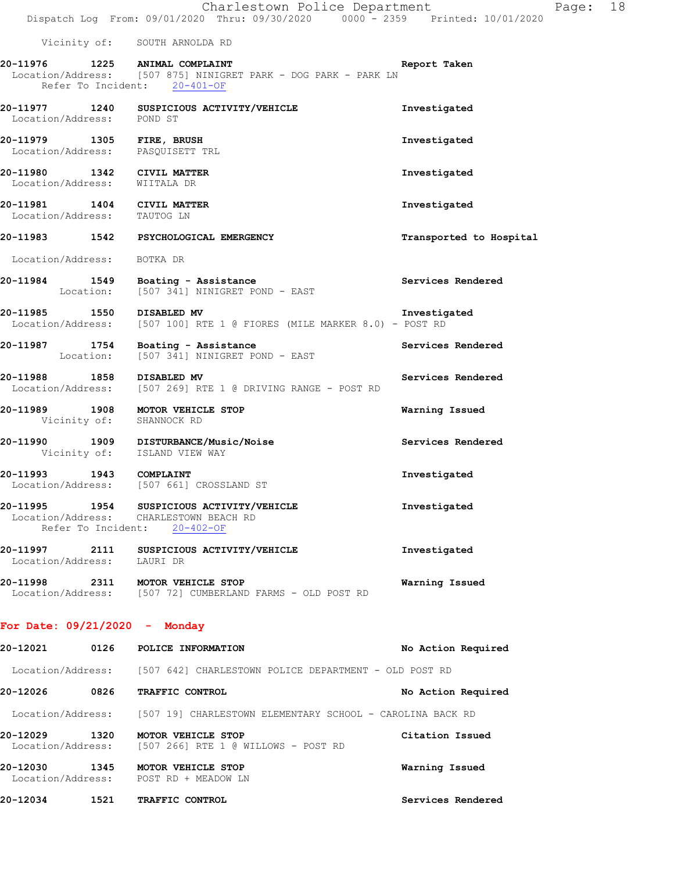Charlestown Police Department The Page: 18 Dispatch Log From: 09/01/2020 Thru: 09/30/2020 0000 - 2359 Printed: 10/01/2020 Vicinity of: SOUTH ARNOLDA RD **20-11976 1225 ANIMAL COMPLAINT Report Taken**  Location/Address: [507 875] NINIGRET PARK - DOG PARK - PARK LN Refer To Incident: 20-401-OF **20-11977 1240 SUSPICIOUS ACTIVITY/VEHICLE Investigated**  Location/Address: POND ST **20-11979 1305 FIRE, BRUSH Investigated**  Location/Address: PASQUISETT TRL **20-11980 1342 CIVIL MATTER Investigated**  Location/Address: WIITALA DR **20-11981 1404 CIVIL MATTER Investigated**  Location/Address: TAUTOG LN **20-11983 1542 PSYCHOLOGICAL EMERGENCY Transported to Hospital**  Location/Address: BOTKA DR 20-11984 1549 Boating - Assistance **Services Rendered** Services Rendered Location: [507 341] NINIGRET POND - EAST **20-11985 1550 DISABLED MV Investigated**  Location/Address: [507 100] RTE 1 @ FIORES (MILE MARKER 8.0) - POST RD **20-11987 1754 Boating - Assistance Services Rendered**  Location: [507 341] NINIGRET POND - EAST **20-11988 1858 DISABLED MV Services Rendered**  Location/Address: [507 269] RTE 1 @ DRIVING RANGE - POST RD **20-11989 1908 MOTOR VEHICLE STOP Warning Issued**  Vicinity of: SHANNOCK RD **20-11990 1909 DISTURBANCE/Music/Noise Services Rendered**  Vicinity of: ISLAND VIEW WAY **20-11993 1943 COMPLAINT Investigated**  Location/Address: [507 661] CROSSLAND ST **20-11995 1954 SUSPICIOUS ACTIVITY/VEHICLE Investigated**  Location/Address: CHARLESTOWN BEACH RD Refer To Incident: 20-402-OF **20-11997 2111 SUSPICIOUS ACTIVITY/VEHICLE Investigated**  Location/Address: LAURI DR **20-11998 2311 MOTOR VEHICLE STOP Warning Issued**  Location/Address: [507 72] CUMBERLAND FARMS - OLD POST RD **For Date: 09/21/2020 - Monday 20-12021 0126 POLICE INFORMATION No Action Required**  Location/Address: [507 642] CHARLESTOWN POLICE DEPARTMENT - OLD POST RD

**20-12026 0826 TRAFFIC CONTROL No Action Required**  Location/Address: [507 19] CHARLESTOWN ELEMENTARY SCHOOL - CAROLINA BACK RD **20-12029 1320 MOTOR VEHICLE STOP Citation Issued**  Location/Address: [507 266] RTE 1 @ WILLOWS - POST RD

**20-12030 1345 MOTOR VEHICLE STOP Warning Issued**  Location/Address: POST RD + MEADOW LN **20-12034 1521 TRAFFIC CONTROL Services Rendered**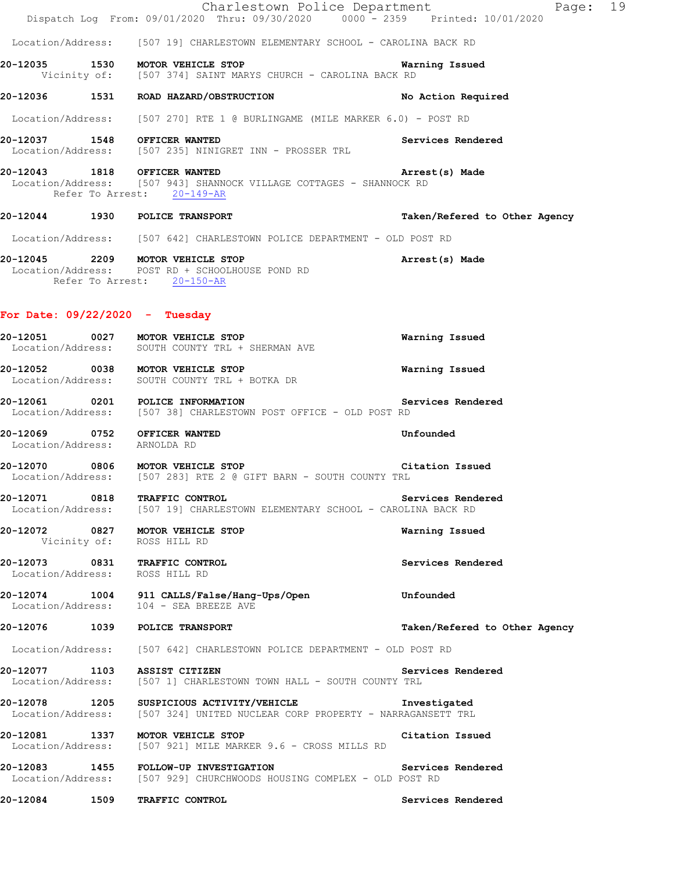|                                  | Charlestown Police Department<br>Dispatch Log From: 09/01/2020 Thru: 09/30/2020 0000 - 2359 Printed: 10/01/2020                   | Page: 19                      |
|----------------------------------|-----------------------------------------------------------------------------------------------------------------------------------|-------------------------------|
|                                  | Location/Address: [507 19] CHARLESTOWN ELEMENTARY SCHOOL - CAROLINA BACK RD                                                       |                               |
|                                  | 20-12035 1530 MOTOR VEHICLE STOP<br>Vicinity of: [507 374] SAINT MARYS CHURCH - CAROLINA BACK RD                                  | Warning Issued                |
|                                  | 20-12036 1531 ROAD HAZARD/OBSTRUCTION                                                                                             | No Action Required            |
|                                  | Location/Address: [507 270] RTE 1 @ BURLINGAME (MILE MARKER 6.0) - POST RD                                                        |                               |
|                                  | 20-12037 1548 OFFICER WANTED<br>Location/Address: [507 235] NINIGRET INN - PROSSER TRL                                            | Services Rendered             |
|                                  | 20-12043 1818 OFFICER WANTED<br>Location/Address: [507 943] SHANNOCK VILLAGE COTTAGES - SHANNOCK RD<br>Refer To Arrest: 20-149-AR | Arrest(s) Made                |
|                                  | 20-12044 1930 POLICE TRANSPORT                                                                                                    | Taken/Refered to Other Agency |
|                                  | Location/Address: [507 642] CHARLESTOWN POLICE DEPARTMENT - OLD POST RD                                                           |                               |
|                                  | 20-12045 2209 MOTOR VEHICLE STOP<br>Location/Address: POST RD + SCHOOLHOUSE POND RD<br>Refer To Arrest: 20-150-AR                 | Arrest(s) Made                |
| For Date: $09/22/2020 -$ Tuesday |                                                                                                                                   |                               |
|                                  | 20-12051 0027 MOTOR VEHICLE STOP<br>Location/Address: SOUTH COUNTY TRL + SHERMAN AVE                                              | Warning Issued                |
|                                  | 20-12052 0038 MOTOR VEHICLE STOP<br>Location/Address: SOUTH COUNTY TRL + BOTKA DR                                                 | Warning Issued                |
|                                  | 20-12061 0201 POLICE INFORMATION<br>Location/Address: [507 38] CHARLESTOWN POST OFFICE - OLD POST RD                              | Services Rendered             |
| Location/Address: ARNOLDA RD     | 20-12069 0752 OFFICER WANTED                                                                                                      | Unfounded                     |
|                                  | 20-12070 0806 MOTOR VEHICLE STOP<br>Location/Address: [507 283] RTE 2 @ GIFT BARN - SOUTH COUNTY TRL                              | Citation Issued               |
|                                  | 20-12071 0818 TRAFFIC CONTROL<br>Location/Address: [507 19] CHARLESTOWN ELEMENTARY SCHOOL - CAROLINA BACK RD                      | Services Rendered             |
|                                  | 20-12072 0827 MOTOR VEHICLE STOP<br>Vicinity of: ROSS HILL RD                                                                     | Warning Issued                |
| Location/Address: ROSS HILL RD   | 20-12073 0831 TRAFFIC CONTROL                                                                                                     | Services Rendered             |
|                                  | 20-12074 1004 911 CALLS/False/Hang-Ups/Open<br>Location/Address: 104 - SEA BREEZE AVE                                             | Unfounded                     |
|                                  | 20-12076 1039 POLICE TRANSPORT                                                                                                    | Taken/Refered to Other Agency |
|                                  | Location/Address: [507 642] CHARLESTOWN POLICE DEPARTMENT - OLD POST RD                                                           |                               |
|                                  | 20-12077 1103 ASSIST CITIZEN<br>Location/Address: [507 1] CHARLESTOWN TOWN HALL - SOUTH COUNTY TRL                                | Services Rendered             |
|                                  | 20-12078 1205 SUSPICIOUS ACTIVITY/VEHICLE<br>Location/Address: [507 324] UNITED NUCLEAR CORP PROPERTY - NARRAGANSETT TRL          | Investigated                  |
|                                  | 20-12081 1337 MOTOR VEHICLE STOP<br>Location/Address: [507 921] MILE MARKER 9.6 - CROSS MILLS RD                                  | Citation Issued               |
|                                  | 20-12083 1455 FOLLOW-UP INVESTIGATION<br>Location/Address: [507 929] CHURCHWOODS HOUSING COMPLEX - OLD POST RD                    | Services Rendered             |
| 20-12084 1509                    | TRAFFIC CONTROL                                                                                                                   | Services Rendered             |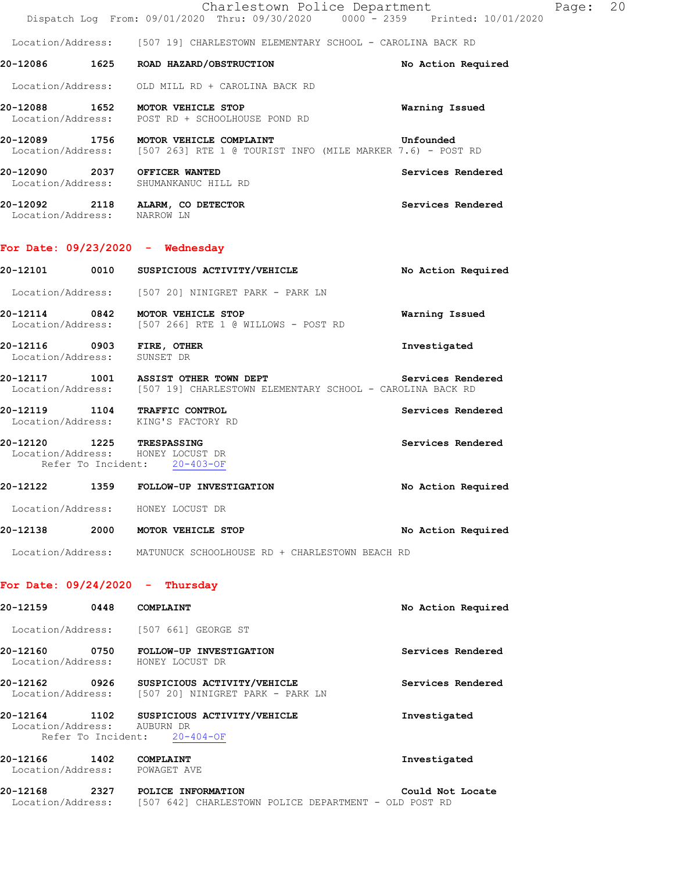|                                    |      | Charlestown Police Department<br>Dispatch Log From: 09/01/2020 Thru: 09/30/2020 0000 - 2359 Printed: 10/01/2020 |                    | Page: | 20 |
|------------------------------------|------|-----------------------------------------------------------------------------------------------------------------|--------------------|-------|----|
|                                    |      | Location/Address: [507 19] CHARLESTOWN ELEMENTARY SCHOOL - CAROLINA BACK RD                                     |                    |       |    |
| 20-12086                           | 1625 | ROAD HAZARD/OBSTRUCTION                                                                                         | No Action Required |       |    |
|                                    |      | Location/Address: OLD MILL RD + CAROLINA BACK RD                                                                |                    |       |    |
| 20-12088 1652                      |      | MOTOR VEHICLE STOP<br>Location/Address: POST RD + SCHOOLHOUSE POND RD                                           | Warning Issued     |       |    |
| 20-12089 1756                      |      | MOTOR VEHICLE COMPLAINT<br>Location/Address: [507 263] RTE 1 @ TOURIST INFO (MILE MARKER 7.6) - POST RD         | Unfounded          |       |    |
| 20-12090<br>Location/Address:      | 2037 | OFFICER WANTED<br>SHUMANKANUC HILL RD                                                                           | Services Rendered  |       |    |
| 20-12092 2118<br>Location/Address: |      | ALARM, CO DETECTOR<br>NARROW LN                                                                                 | Services Rendered  |       |    |

## **For Date: 09/23/2020 - Wednesday**

| 20-12101                           | 0010 | SUSPICIOUS ACTIVITY/VEHICLE                                                                                         | No Action Required |
|------------------------------------|------|---------------------------------------------------------------------------------------------------------------------|--------------------|
|                                    |      | Location/Address: [507 20] NINIGRET PARK - PARK LN                                                                  |                    |
|                                    |      | 20-12114 0842 MOTOR VEHICLE STOP<br>Location/Address: [507 266] RTE 1 @ WILLOWS - POST RD                           | Warning Issued     |
| 20-12116 0903<br>Location/Address: |      | <b>FIRE, OTHER</b><br>SUNSET DR                                                                                     | Investigated       |
|                                    |      | 20-12117 1001 ASSIST OTHER TOWN DEPT<br>Location/Address: [507 19] CHARLESTOWN ELEMENTARY SCHOOL - CAROLINA BACK RD | Services Rendered  |
|                                    |      | 20-12119 1104 TRAFFIC CONTROL<br>Location/Address: KING'S FACTORY RD                                                | Services Rendered  |
|                                    |      | 20-12120 1225 TRESPASSING<br>Location/Address: HONEY LOCUST DR<br>Refer To Incident: 20-403-OF                      | Services Rendered  |
| 20-12122                           |      | 1359 FOLLOW-UP INVESTIGATION                                                                                        | No Action Required |
|                                    |      | Location/Address: HONEY LOCUST DR                                                                                   |                    |
| 20-12138                           | 2000 | MOTOR VEHICLE STOP                                                                                                  | No Action Required |

Location/Address: MATUNUCK SCHOOLHOUSE RD + CHARLESTOWN BEACH RD

### **For Date: 09/24/2020 - Thursday**

| 20-12159                      | 0448                       | COMPLAINT                                                       | No Action Required |
|-------------------------------|----------------------------|-----------------------------------------------------------------|--------------------|
|                               |                            | Location/Address: [507 661] GEORGE ST                           |                    |
| 20-12160<br>Location/Address: | 0750                       | FOLLOW-UP INVESTIGATION<br>HONEY LOCUST DR                      | Services Rendered  |
| 20-12162<br>Location/Address: | 0926                       | SUSPICIOUS ACTIVITY/VEHICLE<br>[507 20] NINIGRET PARK - PARK LN | Services Rendered  |
| 20-12164<br>Location/Address: | 1102<br>Refer To Incident: | SUSPICIOUS ACTIVITY/VEHICLE<br>AUBURN DR<br>$20 - 404 - OF$     | Investigated       |
| 20-12166<br>Location/Address: | 1402                       | COMPLAINT<br>POWAGET AVE                                        | Investigated       |
| 20-12168                      | 2327                       | POLICE INFORMATION                                              | Could Not Locate   |

Location/Address: [507 642] CHARLESTOWN POLICE DEPARTMENT - OLD POST RD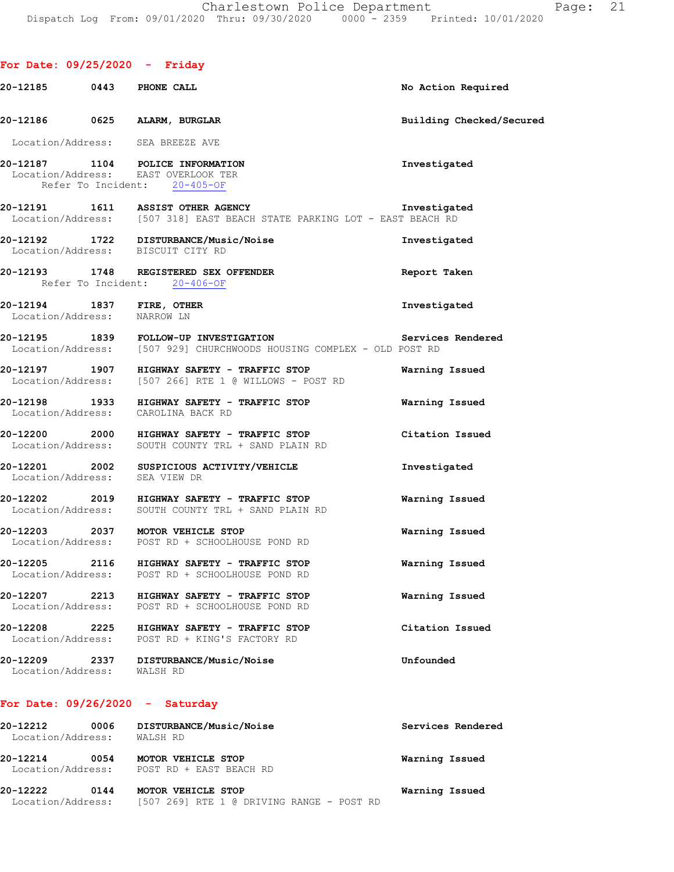## **For Date: 09/25/2020 - Friday 20-12185 0443 PHONE CALL No Action Required 20-12186 0625 ALARM, BURGLAR Building Checked/Secured**  Location/Address: SEA BREEZE AVE **20-12187 1104 POLICE INFORMATION Investigated**  Location/Address: Refer To Incident: 20-405-OF **20-12191 1611 ASSIST OTHER AGENCY Investigated**  Location/Address: [507 318] EAST BEACH STATE PARKING LOT - EAST BEACH RD **20-12192 1722 DISTURBANCE/Music/Noise Investigated**  Location/Address: BISCUIT CITY RD **20-12193 1748 REGISTERED SEX OFFENDER Report Taken**  Refer To Incident: 20-406-OF **20-12194 1837 FIRE, OTHER Investigated**  Location/Address: NARROW LN **20-12195 1839 FOLLOW-UP INVESTIGATION Services Rendered**  Location/Address: [507 929] CHURCHWOODS HOUSING COMPLEX - OLD POST RD **20-12197 1907 HIGHWAY SAFETY - TRAFFIC STOP Warning Issued**  Location/Address: [507 266] RTE 1 @ WILLOWS - POST RD **20-12198 1933 HIGHWAY SAFETY - TRAFFIC STOP Warning Issued**  Location/Address: CAROLINA BACK RD **20-12200 2000 HIGHWAY SAFETY - TRAFFIC STOP Citation Issued**  Location/Address: SOUTH COUNTY TRL + SAND PLAIN RD **20-12201 2002 SUSPICIOUS ACTIVITY/VEHICLE Investigated**  Location/Address: SEA VIEW DR **20-12202 2019 HIGHWAY SAFETY - TRAFFIC STOP Warning Issued**  Location/Address: SOUTH COUNTY TRL + SAND PLAIN RD **20-12203 2037 MOTOR VEHICLE STOP Warning Issued**  Location/Address: POST RD + SCHOOLHOUSE POND RD **20-12205 2116 HIGHWAY SAFETY - TRAFFIC STOP Warning Issued**  Location/Address: POST RD + SCHOOLHOUSE POND RD **20-12207 2213 HIGHWAY SAFETY - TRAFFIC STOP Warning Issued**  Location/Address: POST RD + SCHOOLHOUSE POND RD **20-12208 2225 HIGHWAY SAFETY - TRAFFIC STOP Citation Issued**  POST RD + KING'S FACTORY RD **20-12209 2337 DISTURBANCE/Music/Noise Unfounded**  Location/Address: WALSH RD **For Date: 09/26/2020 - Saturday 20-12212 0006 DISTURBANCE/Music/Noise Services Rendered**

| 20-12222<br>0144                      | MOTOR VEHICLE STOP                            | Warning Issued |
|---------------------------------------|-----------------------------------------------|----------------|
| 20-12214<br>0054<br>Location/Address: | MOTOR VEHICLE STOP<br>POST RD + EAST BEACH RD | Warning Issued |
| Location/Address:                     | WALSH RD                                      |                |

Location/Address: [507 269] RTE 1 @ DRIVING RANGE - POST RD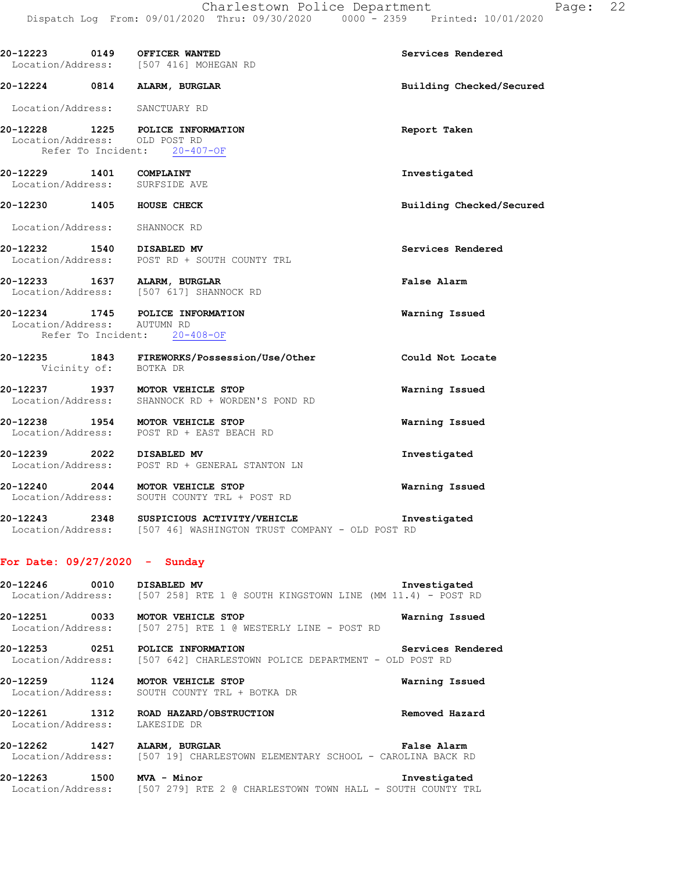| 20-12223 0149 OFFICER WANTED                                      | Location/Address: [507 416] MOHEGAN RD                                                                                                        | Services Rendered        |
|-------------------------------------------------------------------|-----------------------------------------------------------------------------------------------------------------------------------------------|--------------------------|
| 20-12224 0814 ALARM, BURGLAR                                      |                                                                                                                                               | Building Checked/Secured |
| Location/Address: SANCTUARY RD                                    |                                                                                                                                               |                          |
| 20-12228 1225 POLICE INFORMATION<br>Location/Address: OLD POST RD | Refer To Incident: 20-407-OF                                                                                                                  | Report Taken             |
| 20-12229 1401 COMPLAINT<br>Location/Address: SURFSIDE AVE         |                                                                                                                                               | Investigated             |
| 20-12230 1405 HOUSE CHECK                                         |                                                                                                                                               | Building Checked/Secured |
| Location/Address: SHANNOCK RD                                     |                                                                                                                                               |                          |
|                                                                   | 20-12232 1540 DISABLED MV<br>Location/Address: POST RD + SOUTH COUNTY TRL                                                                     | Services Rendered        |
| 20-12233 1637 ALARM, BURGLAR                                      | Location/Address: [507 617] SHANNOCK RD                                                                                                       | False Alarm              |
| 20-12234 1745 POLICE INFORMATION<br>Location/Address: AUTUMN RD   | Refer To Incident: 20-408-OF                                                                                                                  | Warning Issued           |
| Vicinity of: BOTKA DR                                             | 20-12235 1843 FIREWORKS/Possession/Use/Other                                                                                                  | Could Not Locate         |
|                                                                   | 20-12237 1937 MOTOR VEHICLE STOP<br>Location/Address: SHANNOCK RD + WORDEN'S POND RD                                                          | Warning Issued           |
|                                                                   | 20-12238 1954 MOTOR VEHICLE STOP<br>Location/Address: POST RD + EAST BEACH RD                                                                 | Warning Issued           |
|                                                                   | 20-12239 2022 DISABLED MV<br>Location/Address: POST RD + GENERAL STANTON LN                                                                   | Investigated             |
|                                                                   | 20-12240 2044 MOTOR VEHICLE STOP<br>Location/Address: SOUTH COUNTY TRL + POST RD                                                              | Warning Issued           |
|                                                                   | 20-12243 2348 SUSPICIOUS ACTIVITY/VEHICLE<br>Location/Address: [507 46] WASHINGTON TRUST COMPANY - OLD POST RD                                | Investigated             |
| For Date: $09/27/2020 -$ Sunday                                   |                                                                                                                                               |                          |
| 20-12246 0010 DISABLED MV                                         | Location/Address: [507 258] RTE 1 @ SOUTH KINGSTOWN LINE (MM 11.4) - POST RD                                                                  | Investigated             |
| 20-12251 0033 MOTOR VEHICLE STOP                                  | Location/Address: [507 275] RTE 1 @ WESTERLY LINE - POST RD                                                                                   | Warning Issued           |
| 20-12253 0251 POLICE INFORMATION                                  | Location/Address: [507 642] CHARLESTOWN POLICE DEPARTMENT - OLD POST RD                                                                       | Services Rendered        |
|                                                                   | 20-12259 1124 MOTOR VEHICLE STOP<br>Location/Address: SOUTH COUNTY TRL + BOTKA DR                                                             | Warning Issued           |
| Location/Address: LAKESIDE DR                                     | 20-12261 1312 ROAD HAZARD/OBSTRUCTION                                                                                                         | Removed Hazard           |
|                                                                   | 20-12262 1427 ALARM, BURGLAR ELEMENTARY SCHOOL - CAROLINA BACK RD Location/Address: [507 19] CHARLESTOWN ELEMENTARY SCHOOL - CAROLINA BACK RD |                          |
| 20-12263 1500 MVA - Minor                                         | Location/Address: [507 279] RTE 2 @ CHARLESTOWN TOWN HALL - SOUTH COUNTY TRL                                                                  | Investigated             |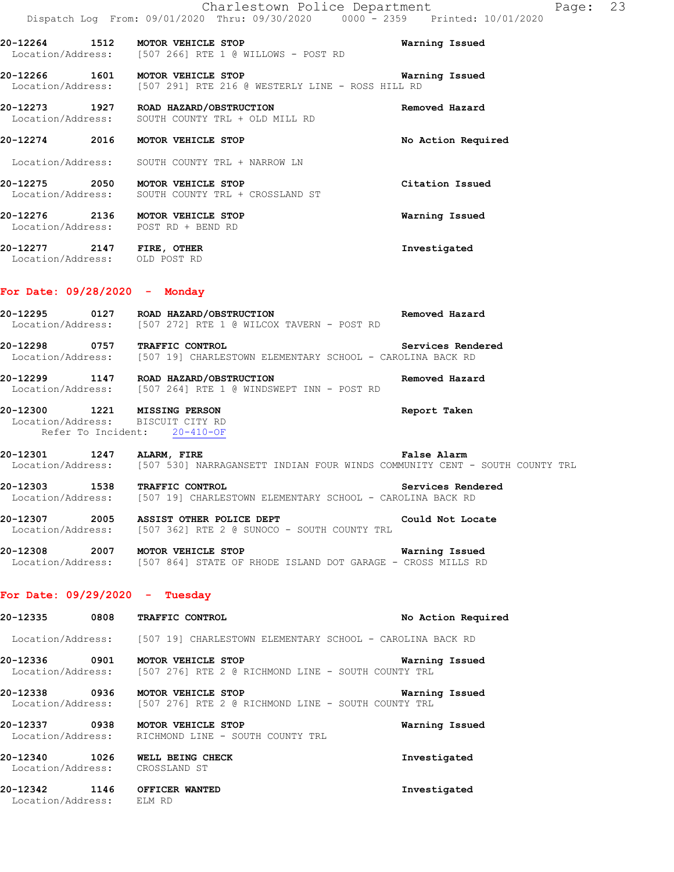|                                                       | Charlestown Police Department<br>Dispatch Log From: 09/01/2020 Thru: 09/30/2020 0000 - 2359 Printed: 10/01/2020 |                    | Page: 23 |  |
|-------------------------------------------------------|-----------------------------------------------------------------------------------------------------------------|--------------------|----------|--|
| 20-12264 1512 MOTOR VEHICLE STOP                      | Location/Address: [507 266] RTE 1 @ WILLOWS - POST RD                                                           | Warning Issued     |          |  |
| 20-12266 1601 MOTOR VEHICLE STOP                      | Location/Address: [507 291] RTE 216 @ WESTERLY LINE - ROSS HILL RD                                              | Warning Issued     |          |  |
|                                                       | Location/Address: SOUTH COUNTY TRL + OLD MILL RD                                                                | Removed Hazard     |          |  |
| 20-12274 2016                                         | MOTOR VEHICLE STOP                                                                                              | No Action Required |          |  |
|                                                       | Location/Address: SOUTH COUNTY TRL + NARROW LN                                                                  |                    |          |  |
| 20-12275 2050 MOTOR VEHICLE STOP                      | Location/Address: SOUTH COUNTY TRL + CROSSLAND ST                                                               | Citation Issued    |          |  |
| 20-12276 2136 MOTOR VEHICLE STOP<br>Location/Address: | POST RD + BEND RD                                                                                               | Warning Issued     |          |  |
| 20-12277 2147 FIRE, OTHER<br>Location/Address:        | OLD POST RD                                                                                                     | Investigated       |          |  |

#### **For Date: 09/28/2020 - Monday**

| 20-12295          | 0127 |  |  | ROAD HAZARD/OBSTRUCTION |                                           |  | Removed Hazard |  |
|-------------------|------|--|--|-------------------------|-------------------------------------------|--|----------------|--|
| Location/Address: |      |  |  |                         | 1507 2721 RTE 1 @ WILCOX TAVERN - POST RD |  |                |  |

**20-12298 0757 TRAFFIC CONTROL Services Rendered**  Location/Address: [507 19] CHARLESTOWN ELEMENTARY SCHOOL - CAROLINA BACK RD

**20-12299 1147 ROAD HAZARD/OBSTRUCTION Removed Hazard**  Location/Address: [507 264] RTE 1 @ WINDSWEPT INN - POST RD

#### **20-12300 1221 MISSING PERSON Report Taken**  Location/Address: BISCUIT CITY RD Refer To Incident: 20-410-OF

**20-12301 1247 ALARM, FIRE False Alarm**  Location/Address: [507 530] NARRAGANSETT INDIAN FOUR WINDS COMMUNITY CENT - SOUTH COUNTY TRL

**20-12303 1538 TRAFFIC CONTROL Services Rendered**  Location/Address: [507 19] CHARLESTOWN ELEMENTARY SCHOOL - CAROLINA BACK RD

**20-12307 2005 ASSIST OTHER POLICE DEPT Could Not Locate**  Location/Address: [507 362] RTE 2 @ SUNOCO - SOUTH COUNTY TRL

**20-12308 2007 MOTOR VEHICLE STOP Warning Issued**  Location/Address: [507 864] STATE OF RHODE ISLAND DOT GARAGE - CROSS MILLS RD

#### **For Date: 09/29/2020 - Tuesday**

Location/Address: ELM RD

**20-12335 0808 TRAFFIC CONTROL No Action Required**  Location/Address: [507 19] CHARLESTOWN ELEMENTARY SCHOOL - CAROLINA BACK RD **20-12336 0901 MOTOR VEHICLE STOP Warning Issued** Location/Address: [507 276] RTE 2 @ RICHMOND LINE - SOUTH COUNTY TRL [507 276] RTE 2 @ RICHMOND LINE - SOUTH COUNTY TRL **20-12338 0936 MOTOR VEHICLE STOP Warning Issued**  Location/Address: [507 276] RTE 2 @ RICHMOND LINE - SOUTH COUNTY TRL **20-12337 0938 MOTOR VEHICLE STOP Warning Issued**  Location/Address: RICHMOND LINE - SOUTH COUNTY TRL **20-12340 1026 WELL BEING CHECK Investigated**  Location/Address: CROSSLAND ST **20-12342 1146 OFFICER WANTED Investigated**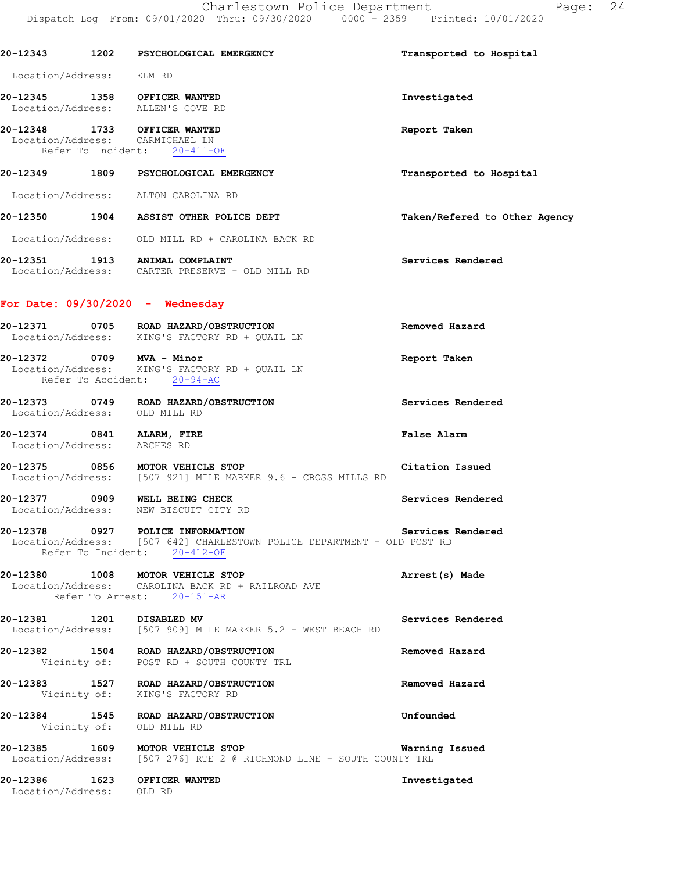Refer To Incident: 20-411-OF

# **20-12349 1809 PSYCHOLOGICAL EMERGENCY Transported to Hospital**

Location/Address: ALTON CAROLINA RD

**20-12350 1904 ASSIST OTHER POLICE DEPT Taken/Refered to Other Agency**

Location/Address: OLD MILL RD + CAROLINA BACK RD

**20-12351 1913 ANIMAL COMPLAINT Services Rendered**  Location/Address: CARTER PRESERVE - OLD MILL RD

### **For Date: 09/30/2020 - Wednesday**

| 20-12372          | 0709 | MVA - Minor                                             | Report Taken   |
|-------------------|------|---------------------------------------------------------|----------------|
| Location/Address: |      | ROAD HAZARD/OBSTRUCTION<br>KING'S FACTORY RD + OUAIL LN | Removed Hazard |
| 20-12371          | 0705 |                                                         |                |

 Location/Address: KING'S FACTORY RD + QUAIL LN Refer To Accident: 20-94-AC

**20-12373 0749 ROAD HAZARD/OBSTRUCTION Services Rendered**  Location/Address: OLD MILL RD

**20-12374 0841 ALARM, FIRE False Alarm**  Location/Address: ARCHES RD

**20-12375 0856 MOTOR VEHICLE STOP Citation Issued**  Location/Address: [507 921] MILE MARKER 9.6 - CROSS MILLS RD

**20-12377 0909 WELL BEING CHECK Services Rendered**  Location/Address: NEW BISCUIT CITY RD

**20-12378 0927 POLICE INFORMATION Services Rendered**  Location/Address: [507 642] CHARLESTOWN POLICE DEPARTMENT - OLD POST RD Refer To Incident: 20-412-OF

**20-12380 1008 MOTOR VEHICLE STOP Arrest(s) Made**  Location/Address: CAROLINA BACK RD + RAILROAD AVE Refer To Arrest: 20-151-AR

**20-12381 1201 DISABLED MV Services Rendered**  Location/Address: [507 909] MILE MARKER 5.2 - WEST BEACH RD

**20-12382 1504 ROAD HAZARD/OBSTRUCTION Removed Hazard**  Vicinity of: POST RD + SOUTH COUNTY TRL

**20-12383 1527 ROAD HAZARD/OBSTRUCTION Removed Hazard**  Vicinity of: KING'S FACTORY RD

**20-12384 1545 ROAD HAZARD/OBSTRUCTION Unfounded**  Vicinity of: OLD MILL RD

**20-12385 1609 MOTOR VEHICLE STOP Warning Issued**  Location/Address: [507 276] RTE 2 @ RICHMOND LINE - SOUTH COUNTY TRL

**20-12386 1623 OFFICER WANTED Investigated**  Location/Address: OLD RD